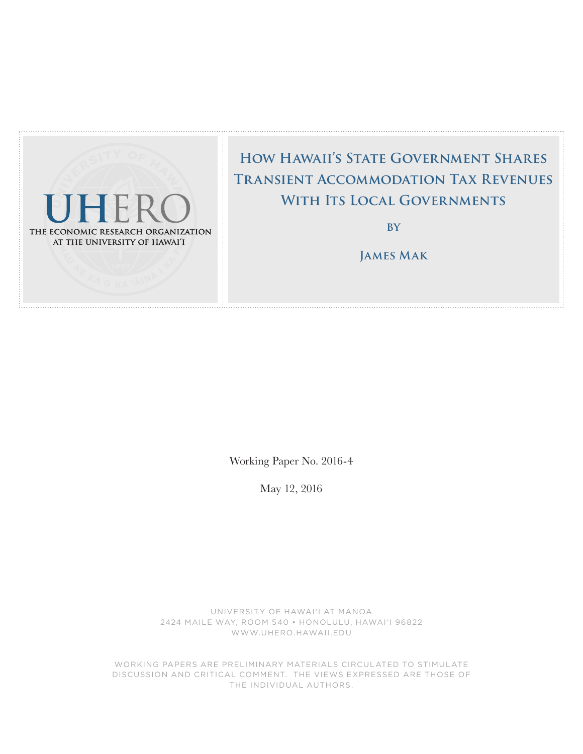

# **How Hawaii's State Government Shares Transient Accommodation Tax Revenues With Its Local Governments**

**by**

**James Mak**

Working Paper No. 2016-4

May 12, 2016

UNIVERSITY OF HAWAI'I AT MANOA 2424 MAILE WAY, ROOM 540 • HONOLULU, HAWAI'I 96822 WWW.UHERO.HAWAII.EDU

WORKING PAPERS ARE PRELIMINARY MATERIALS CIRCULATED TO STIMULATE DISCUSSION AND CRITICAL COMMENT. THE VIEWS EXPRESSED ARE THOSE OF THE INDIVIDUAL AUTHORS.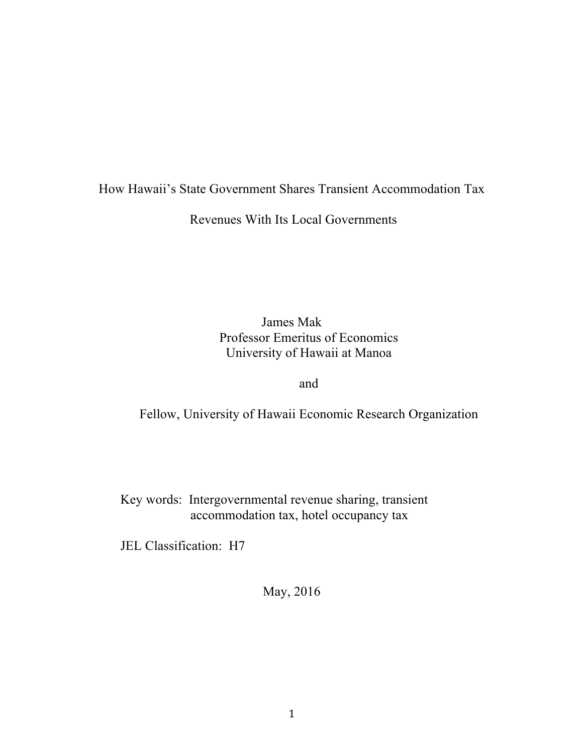# How Hawaii's State Government Shares Transient Accommodation Tax

Revenues With Its Local Governments

James Mak Professor Emeritus of Economics University of Hawaii at Manoa

### and

Fellow, University of Hawaii Economic Research Organization

Key words: Intergovernmental revenue sharing, transient accommodation tax, hotel occupancy tax

JEL Classification: H7

May, 2016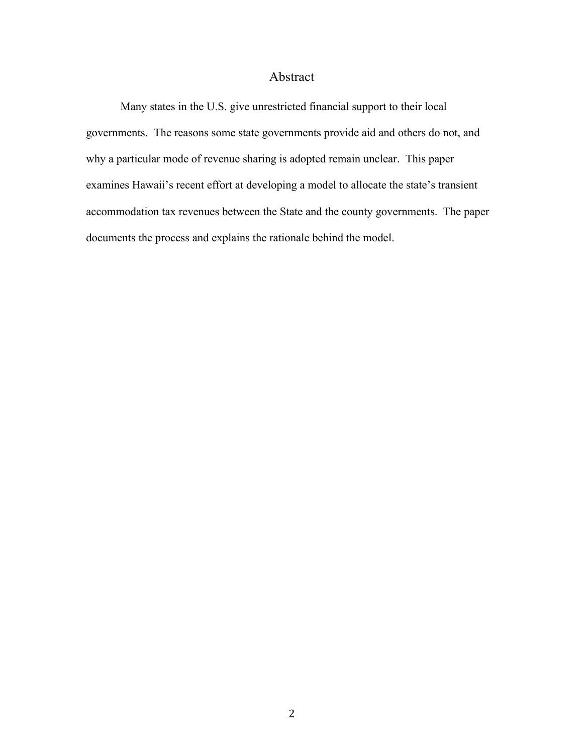## Abstract

Many states in the U.S. give unrestricted financial support to their local governments. The reasons some state governments provide aid and others do not, and why a particular mode of revenue sharing is adopted remain unclear. This paper examines Hawaii's recent effort at developing a model to allocate the state's transient accommodation tax revenues between the State and the county governments. The paper documents the process and explains the rationale behind the model.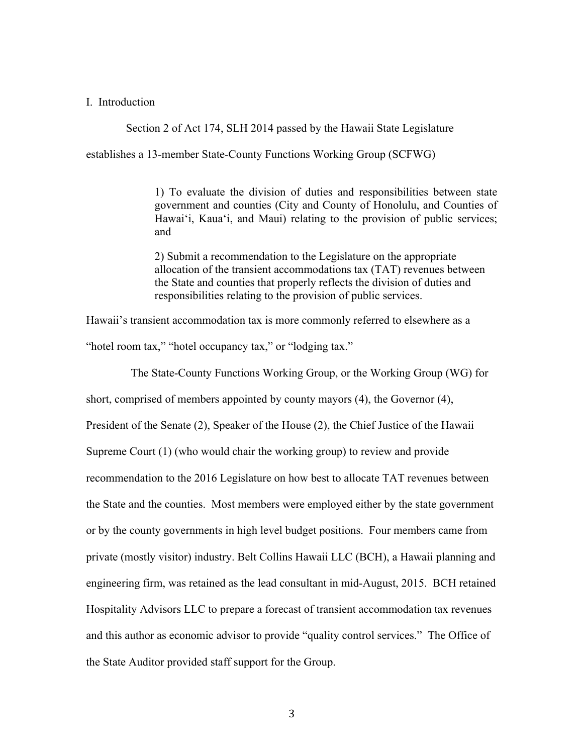#### I. Introduction

Section 2 of Act 174, SLH 2014 passed by the Hawaii State Legislature

establishes a 13-member State-County Functions Working Group (SCFWG)

1) To evaluate the division of duties and responsibilities between state government and counties (City and County of Honolulu, and Counties of Hawai'i, Kaua'i, and Maui) relating to the provision of public services; and

2) Submit a recommendation to the Legislature on the appropriate allocation of the transient accommodations tax (TAT) revenues between the State and counties that properly reflects the division of duties and responsibilities relating to the provision of public services.

Hawaii's transient accommodation tax is more commonly referred to elsewhere as a

"hotel room tax," "hotel occupancy tax," or "lodging tax."

The State-County Functions Working Group, or the Working Group (WG) for

short, comprised of members appointed by county mayors (4), the Governor (4), President of the Senate (2), Speaker of the House (2), the Chief Justice of the Hawaii Supreme Court (1) (who would chair the working group) to review and provide recommendation to the 2016 Legislature on how best to allocate TAT revenues between the State and the counties. Most members were employed either by the state government or by the county governments in high level budget positions. Four members came from private (mostly visitor) industry. Belt Collins Hawaii LLC (BCH), a Hawaii planning and engineering firm, was retained as the lead consultant in mid-August, 2015. BCH retained Hospitality Advisors LLC to prepare a forecast of transient accommodation tax revenues and this author as economic advisor to provide "quality control services." The Office of the State Auditor provided staff support for the Group.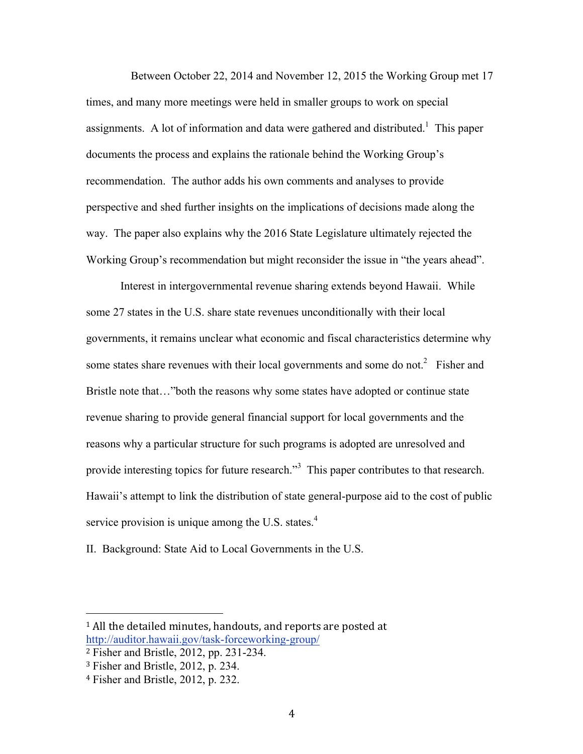Between October 22, 2014 and November 12, 2015 the Working Group met 17 times, and many more meetings were held in smaller groups to work on special assignments. A lot of information and data were gathered and distributed.<sup>1</sup> This paper documents the process and explains the rationale behind the Working Group's recommendation. The author adds his own comments and analyses to provide perspective and shed further insights on the implications of decisions made along the way. The paper also explains why the 2016 State Legislature ultimately rejected the Working Group's recommendation but might reconsider the issue in "the years ahead".

Interest in intergovernmental revenue sharing extends beyond Hawaii. While some 27 states in the U.S. share state revenues unconditionally with their local governments, it remains unclear what economic and fiscal characteristics determine why some states share revenues with their local governments and some do not.<sup>2</sup> Fisher and Bristle note that…"both the reasons why some states have adopted or continue state revenue sharing to provide general financial support for local governments and the reasons why a particular structure for such programs is adopted are unresolved and provide interesting topics for future research.<sup>3</sup> This paper contributes to that research. Hawaii's attempt to link the distribution of state general-purpose aid to the cost of public service provision is unique among the U.S. states. $4$ 

II. Background: State Aid to Local Governments in the U.S.

 $1$  All the detailed minutes, handouts, and reports are posted at http://auditor.hawaii.gov/task-forceworking-group/

<sup>2</sup> Fisher and Bristle, 2012, pp. 231-234.

<sup>3</sup> Fisher and Bristle, 2012, p. 234.

<sup>4</sup> Fisher and Bristle, 2012, p. 232.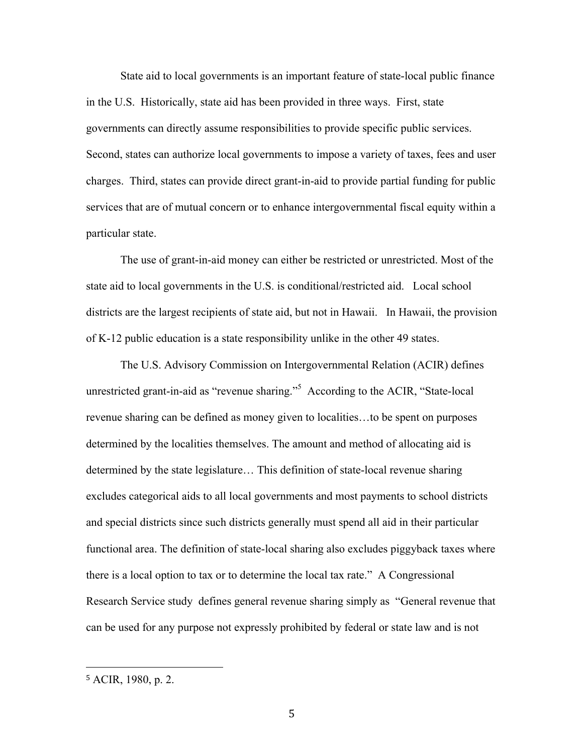State aid to local governments is an important feature of state-local public finance in the U.S. Historically, state aid has been provided in three ways. First, state governments can directly assume responsibilities to provide specific public services. Second, states can authorize local governments to impose a variety of taxes, fees and user charges. Third, states can provide direct grant-in-aid to provide partial funding for public services that are of mutual concern or to enhance intergovernmental fiscal equity within a particular state.

The use of grant-in-aid money can either be restricted or unrestricted. Most of the state aid to local governments in the U.S. is conditional/restricted aid. Local school districts are the largest recipients of state aid, but not in Hawaii. In Hawaii, the provision of K-12 public education is a state responsibility unlike in the other 49 states.

The U.S. Advisory Commission on Intergovernmental Relation (ACIR) defines unrestricted grant-in-aid as "revenue sharing."<sup>5</sup> According to the ACIR, "State-local revenue sharing can be defined as money given to localities…to be spent on purposes determined by the localities themselves. The amount and method of allocating aid is determined by the state legislature… This definition of state-local revenue sharing excludes categorical aids to all local governments and most payments to school districts and special districts since such districts generally must spend all aid in their particular functional area. The definition of state-local sharing also excludes piggyback taxes where there is a local option to tax or to determine the local tax rate." A Congressional Research Service study defines general revenue sharing simply as "General revenue that can be used for any purpose not expressly prohibited by federal or state law and is not

<sup>5</sup> ACIR, 1980, p. 2.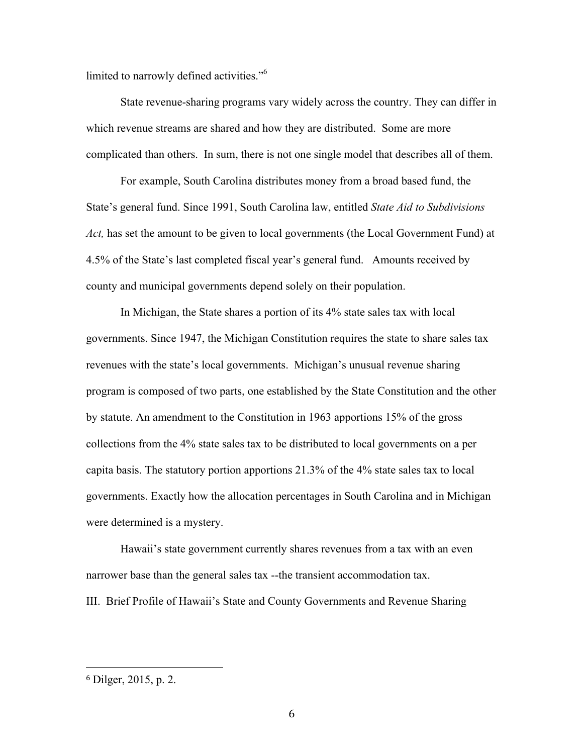limited to narrowly defined activities."<sup>6</sup>

State revenue-sharing programs vary widely across the country. They can differ in which revenue streams are shared and how they are distributed. Some are more complicated than others. In sum, there is not one single model that describes all of them.

For example, South Carolina distributes money from a broad based fund, the State's general fund. Since 1991, South Carolina law, entitled *State Aid to Subdivisions Act,* has set the amount to be given to local governments (the Local Government Fund) at 4.5% of the State's last completed fiscal year's general fund. Amounts received by county and municipal governments depend solely on their population.

In Michigan, the State shares a portion of its 4% state sales tax with local governments. Since 1947, the Michigan Constitution requires the state to share sales tax revenues with the state's local governments. Michigan's unusual revenue sharing program is composed of two parts, one established by the State Constitution and the other by statute. An amendment to the Constitution in 1963 apportions 15% of the gross collections from the 4% state sales tax to be distributed to local governments on a per capita basis. The statutory portion apportions 21.3% of the 4% state sales tax to local governments. Exactly how the allocation percentages in South Carolina and in Michigan were determined is a mystery.

Hawaii's state government currently shares revenues from a tax with an even narrower base than the general sales tax --the transient accommodation tax. III. Brief Profile of Hawaii's State and County Governments and Revenue Sharing

<sup>6</sup> Dilger, 2015, p. 2.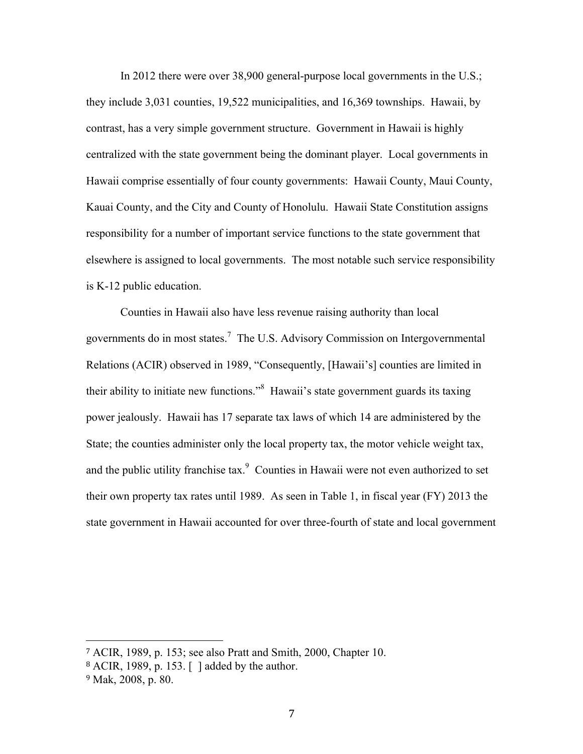In 2012 there were over 38,900 general-purpose local governments in the U.S.; they include 3,031 counties, 19,522 municipalities, and 16,369 townships. Hawaii, by contrast, has a very simple government structure. Government in Hawaii is highly centralized with the state government being the dominant player. Local governments in Hawaii comprise essentially of four county governments: Hawaii County, Maui County, Kauai County, and the City and County of Honolulu. Hawaii State Constitution assigns responsibility for a number of important service functions to the state government that elsewhere is assigned to local governments. The most notable such service responsibility is K-12 public education.

Counties in Hawaii also have less revenue raising authority than local governments do in most states.<sup>7</sup> The U.S. Advisory Commission on Intergovernmental Relations (ACIR) observed in 1989, "Consequently, [Hawaii's] counties are limited in their ability to initiate new functions."<sup>8</sup> Hawaii's state government guards its taxing power jealously. Hawaii has 17 separate tax laws of which 14 are administered by the State; the counties administer only the local property tax, the motor vehicle weight tax, and the public utility franchise tax. $\degree$  Counties in Hawaii were not even authorized to set their own property tax rates until 1989. As seen in Table 1, in fiscal year (FY) 2013 the state government in Hawaii accounted for over three-fourth of state and local government

<sup>7</sup> ACIR, 1989, p. 153; see also Pratt and Smith, 2000, Chapter 10.

<sup>8</sup> ACIR, 1989, p. 153. [ ] added by the author.

<sup>9</sup> Mak, 2008, p. 80.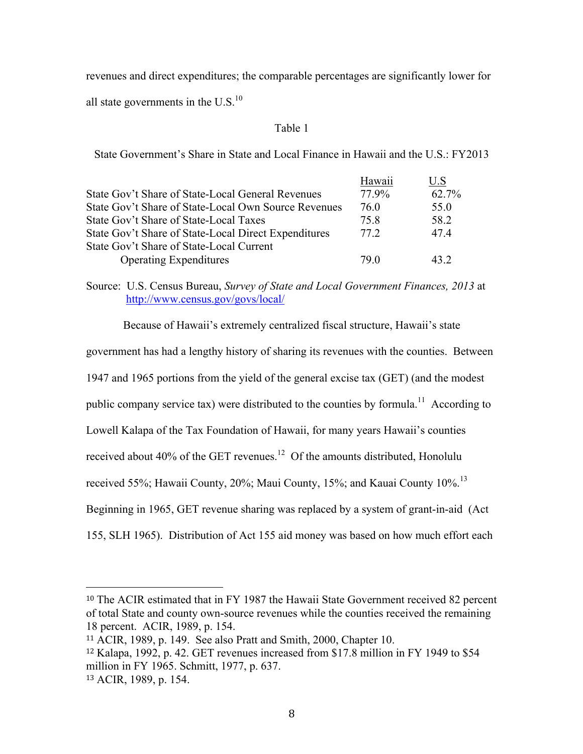revenues and direct expenditures; the comparable percentages are significantly lower for

all state governments in the  $U.S.<sup>10</sup>$ 

#### Table 1

State Government's Share in State and Local Finance in Hawaii and the U.S.: FY2013

| Hawaii | U.S   |
|--------|-------|
| 77.9%  | 62.7% |
| 76 O   | 55.0  |
| 75.8   | 58.2  |
| 77 2.  | 47.4  |
|        |       |
| 79 O   | 43.2  |
|        |       |

Source: U.S. Census Bureau, *Survey of State and Local Government Finances, 2013* at http://www.census.gov/govs/local/

Because of Hawaii's extremely centralized fiscal structure, Hawaii's state

government has had a lengthy history of sharing its revenues with the counties. Between

1947 and 1965 portions from the yield of the general excise tax (GET) (and the modest

public company service tax) were distributed to the counties by formula.<sup>11</sup> According to

Lowell Kalapa of the Tax Foundation of Hawaii, for many years Hawaii's counties

received about 40% of the GET revenues.<sup>12</sup> Of the amounts distributed, Honolulu

received 55%; Hawaii County, 20%; Maui County, 15%; and Kauai County 10%.<sup>13</sup>

Beginning in 1965, GET revenue sharing was replaced by a system of grant-in-aid (Act

155, SLH 1965). Distribution of Act 155 aid money was based on how much effort each

<sup>10</sup> The ACIR estimated that in FY 1987 the Hawaii State Government received 82 percent of total State and county own-source revenues while the counties received the remaining 18 percent. ACIR, 1989, p. 154.

<sup>11</sup> ACIR, 1989, p. 149. See also Pratt and Smith, 2000, Chapter 10.

<sup>12</sup> Kalapa, 1992, p. 42. GET revenues increased from \$17.8 million in FY 1949 to \$54 million in FY 1965. Schmitt, 1977, p. 637.

<sup>13</sup> ACIR, 1989, p. 154.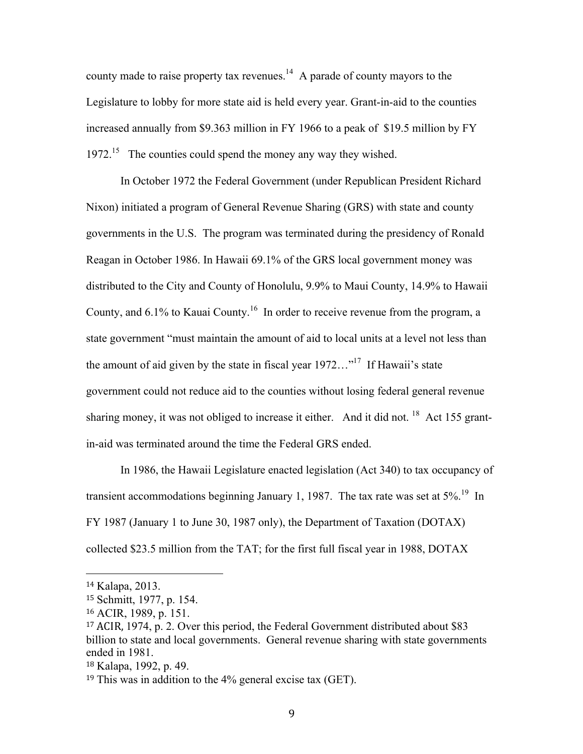county made to raise property tax revenues.<sup>14</sup> A parade of county mayors to the Legislature to lobby for more state aid is held every year. Grant-in-aid to the counties increased annually from \$9.363 million in FY 1966 to a peak of \$19.5 million by FY 1972.<sup>15</sup> The counties could spend the money any way they wished.

In October 1972 the Federal Government (under Republican President Richard Nixon) initiated a program of General Revenue Sharing (GRS) with state and county governments in the U.S. The program was terminated during the presidency of Ronald Reagan in October 1986. In Hawaii 69.1% of the GRS local government money was distributed to the City and County of Honolulu, 9.9% to Maui County, 14.9% to Hawaii County, and  $6.1\%$  to Kauai County.<sup>16</sup> In order to receive revenue from the program, a state government "must maintain the amount of aid to local units at a level not less than the amount of aid given by the state in fiscal year  $1972...$ <sup>"17</sup> If Hawaii's state government could not reduce aid to the counties without losing federal general revenue sharing money, it was not obliged to increase it either. And it did not. <sup>18</sup> Act 155 grantin-aid was terminated around the time the Federal GRS ended.

In 1986, the Hawaii Legislature enacted legislation (Act 340) to tax occupancy of transient accommodations beginning January 1, 1987. The tax rate was set at 5%.<sup>19</sup> In FY 1987 (January 1 to June 30, 1987 only), the Department of Taxation (DOTAX) collected \$23.5 million from the TAT; for the first full fiscal year in 1988, DOTAX

<sup>14</sup> Kalapa, 2013.

<sup>15</sup> Schmitt, 1977, p. 154.

<sup>16</sup> ACIR, 1989, p. 151.

<sup>&</sup>lt;sup>17</sup> ACIR, 1974, p. 2. Over this period, the Federal Government distributed about \$83 billion to state and local governments. General revenue sharing with state governments ended in 1981.

<sup>18</sup> Kalapa, 1992, p. 49.

<sup>19</sup> This was in addition to the 4% general excise tax (GET).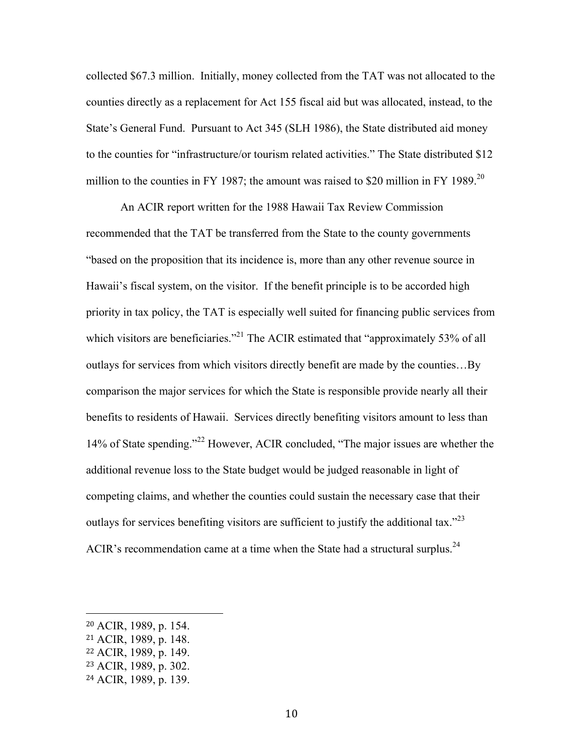collected \$67.3 million. Initially, money collected from the TAT was not allocated to the counties directly as a replacement for Act 155 fiscal aid but was allocated, instead, to the State's General Fund. Pursuant to Act 345 (SLH 1986), the State distributed aid money to the counties for "infrastructure/or tourism related activities." The State distributed \$12 million to the counties in FY 1987; the amount was raised to \$20 million in FY 1989.<sup>20</sup>

An ACIR report written for the 1988 Hawaii Tax Review Commission recommended that the TAT be transferred from the State to the county governments "based on the proposition that its incidence is, more than any other revenue source in Hawaii's fiscal system, on the visitor. If the benefit principle is to be accorded high priority in tax policy, the TAT is especially well suited for financing public services from which visitors are beneficiaries."<sup>21</sup> The ACIR estimated that "approximately 53% of all outlays for services from which visitors directly benefit are made by the counties…By comparison the major services for which the State is responsible provide nearly all their benefits to residents of Hawaii. Services directly benefiting visitors amount to less than 14% of State spending."22 However, ACIR concluded, "The major issues are whether the additional revenue loss to the State budget would be judged reasonable in light of competing claims, and whether the counties could sustain the necessary case that their outlays for services benefiting visitors are sufficient to justify the additional tax.<sup>223</sup> ACIR's recommendation came at a time when the State had a structural surplus.<sup>24</sup>

<sup>20</sup> ACIR, 1989, p. 154.

<sup>21</sup> ACIR, 1989, p. 148.

<sup>22</sup> ACIR, 1989, p. 149.

<sup>23</sup> ACIR, 1989, p. 302.

<sup>24</sup> ACIR, 1989, p. 139.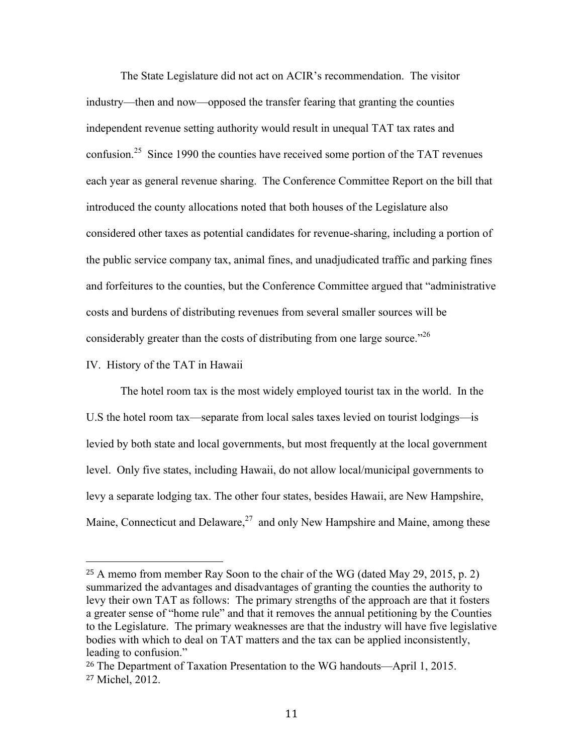The State Legislature did not act on ACIR's recommendation. The visitor industry—then and now—opposed the transfer fearing that granting the counties independent revenue setting authority would result in unequal TAT tax rates and confusion.<sup>25</sup> Since 1990 the counties have received some portion of the TAT revenues each year as general revenue sharing. The Conference Committee Report on the bill that introduced the county allocations noted that both houses of the Legislature also considered other taxes as potential candidates for revenue-sharing, including a portion of the public service company tax, animal fines, and unadjudicated traffic and parking fines and forfeitures to the counties, but the Conference Committee argued that "administrative costs and burdens of distributing revenues from several smaller sources will be considerably greater than the costs of distributing from one large source.<sup> $26$ </sup>

#### IV. History of the TAT in Hawaii

!!!!!!!!!!!!!!!!!!!!!!!!!!!!!!!!!!!!!!!!!!!!!!!!!!!!!!!

The hotel room tax is the most widely employed tourist tax in the world. In the U.S the hotel room tax—separate from local sales taxes levied on tourist lodgings—is levied by both state and local governments, but most frequently at the local government level. Only five states, including Hawaii, do not allow local/municipal governments to levy a separate lodging tax. The other four states, besides Hawaii, are New Hampshire, Maine, Connecticut and Delaware, $27$  and only New Hampshire and Maine, among these

<sup>25</sup> A memo from member Ray Soon to the chair of the WG (dated May 29, 2015, p. 2) summarized the advantages and disadvantages of granting the counties the authority to levy their own TAT as follows: The primary strengths of the approach are that it fosters a greater sense of "home rule" and that it removes the annual petitioning by the Counties to the Legislature. The primary weaknesses are that the industry will have five legislative bodies with which to deal on TAT matters and the tax can be applied inconsistently, leading to confusion."

<sup>26</sup> The Department of Taxation Presentation to the WG handouts—April 1, 2015. <sup>27</sup> Michel, 2012.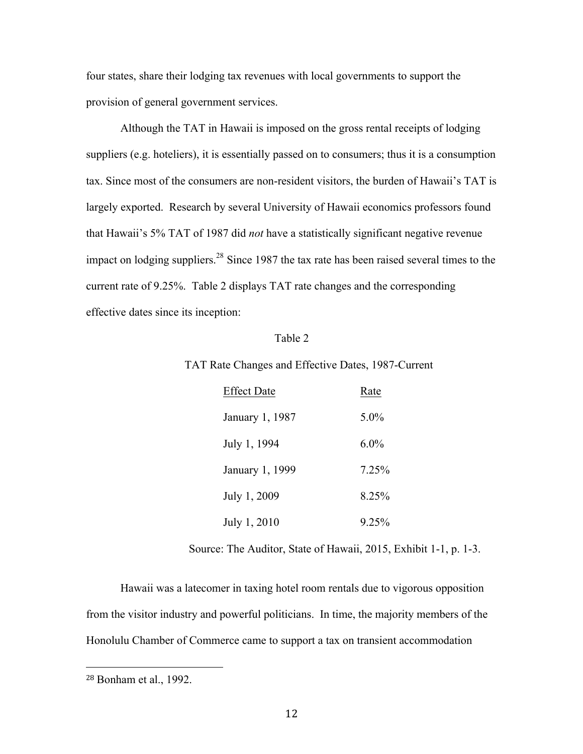four states, share their lodging tax revenues with local governments to support the provision of general government services.

Although the TAT in Hawaii is imposed on the gross rental receipts of lodging suppliers (e.g. hoteliers), it is essentially passed on to consumers; thus it is a consumption tax. Since most of the consumers are non-resident visitors, the burden of Hawaii's TAT is largely exported. Research by several University of Hawaii economics professors found that Hawaii's 5% TAT of 1987 did *not* have a statistically significant negative revenue impact on lodging suppliers.<sup>28</sup> Since 1987 the tax rate has been raised several times to the current rate of 9.25%. Table 2 displays TAT rate changes and the corresponding effective dates since its inception:

#### Table 2

#### TAT Rate Changes and Effective Dates, 1987-Current

| <b>Effect Date</b> | Rate    |
|--------------------|---------|
| January 1, 1987    | 5.0%    |
| July 1, 1994       | $6.0\%$ |
| January 1, 1999    | 7 25%   |
| July 1, 2009       | 8.25%   |
| July 1, 2010       | 9 25%   |

Source: The Auditor, State of Hawaii, 2015, Exhibit 1-1, p. 1-3.

Hawaii was a latecomer in taxing hotel room rentals due to vigorous opposition from the visitor industry and powerful politicians. In time, the majority members of the Honolulu Chamber of Commerce came to support a tax on transient accommodation

<sup>28</sup> Bonham et al., 1992.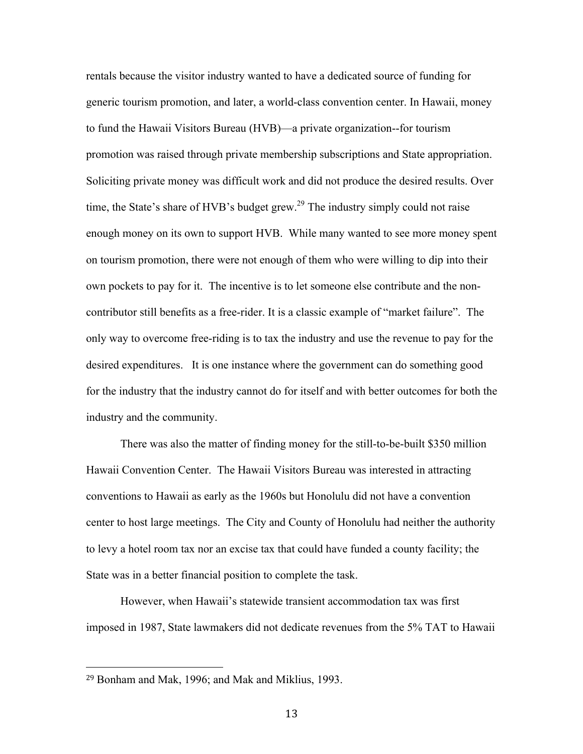rentals because the visitor industry wanted to have a dedicated source of funding for generic tourism promotion, and later, a world-class convention center. In Hawaii, money to fund the Hawaii Visitors Bureau (HVB)—a private organization--for tourism promotion was raised through private membership subscriptions and State appropriation. Soliciting private money was difficult work and did not produce the desired results. Over time, the State's share of HVB's budget grew.<sup>29</sup> The industry simply could not raise enough money on its own to support HVB. While many wanted to see more money spent on tourism promotion, there were not enough of them who were willing to dip into their own pockets to pay for it. The incentive is to let someone else contribute and the noncontributor still benefits as a free-rider. It is a classic example of "market failure". The only way to overcome free-riding is to tax the industry and use the revenue to pay for the desired expenditures. It is one instance where the government can do something good for the industry that the industry cannot do for itself and with better outcomes for both the industry and the community.

There was also the matter of finding money for the still-to-be-built \$350 million Hawaii Convention Center. The Hawaii Visitors Bureau was interested in attracting conventions to Hawaii as early as the 1960s but Honolulu did not have a convention center to host large meetings. The City and County of Honolulu had neither the authority to levy a hotel room tax nor an excise tax that could have funded a county facility; the State was in a better financial position to complete the task.

However, when Hawaii's statewide transient accommodation tax was first imposed in 1987, State lawmakers did not dedicate revenues from the 5% TAT to Hawaii

<sup>29</sup> Bonham and Mak, 1996; and Mak and Miklius, 1993.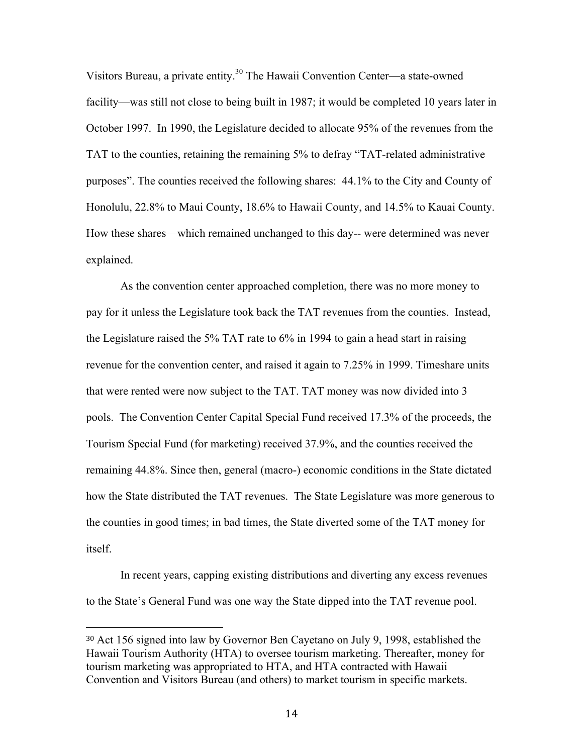Visitors Bureau, a private entity.<sup>30</sup> The Hawaii Convention Center—a state-owned facility—was still not close to being built in 1987; it would be completed 10 years later in October 1997. In 1990, the Legislature decided to allocate 95% of the revenues from the TAT to the counties, retaining the remaining 5% to defray "TAT-related administrative purposes". The counties received the following shares: 44.1% to the City and County of Honolulu, 22.8% to Maui County, 18.6% to Hawaii County, and 14.5% to Kauai County. How these shares—which remained unchanged to this day-- were determined was never explained.

As the convention center approached completion, there was no more money to pay for it unless the Legislature took back the TAT revenues from the counties. Instead, the Legislature raised the 5% TAT rate to 6% in 1994 to gain a head start in raising revenue for the convention center, and raised it again to 7.25% in 1999. Timeshare units that were rented were now subject to the TAT. TAT money was now divided into 3 pools. The Convention Center Capital Special Fund received 17.3% of the proceeds, the Tourism Special Fund (for marketing) received 37.9%, and the counties received the remaining 44.8%. Since then, general (macro-) economic conditions in the State dictated how the State distributed the TAT revenues. The State Legislature was more generous to the counties in good times; in bad times, the State diverted some of the TAT money for itself.

In recent years, capping existing distributions and diverting any excess revenues to the State's General Fund was one way the State dipped into the TAT revenue pool.

<sup>30</sup> Act 156 signed into law by Governor Ben Cayetano on July 9, 1998, established the Hawaii Tourism Authority (HTA) to oversee tourism marketing. Thereafter, money for tourism marketing was appropriated to HTA, and HTA contracted with Hawaii Convention and Visitors Bureau (and others) to market tourism in specific markets.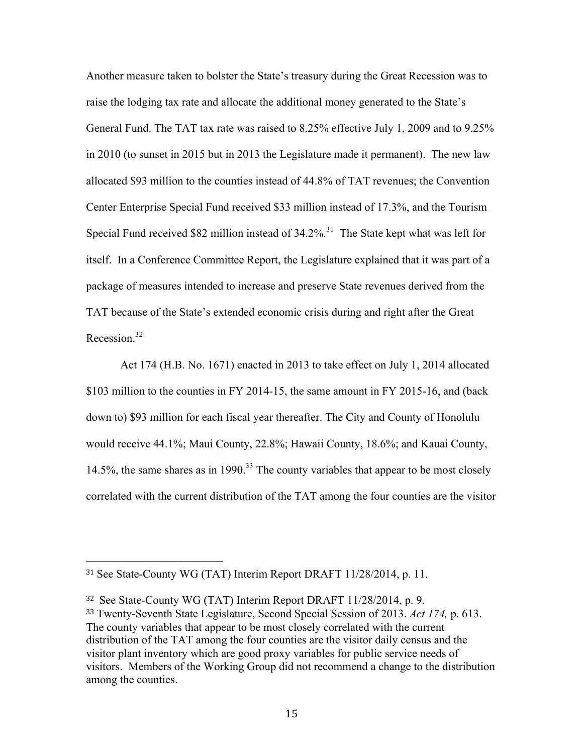Another measure taken to bolster the State's treasury during the Great Recession was to raise the lodging tax rate and allocate the additional money generated to the State's General Fund. The TAT tax rate was raised to 8.25% effective July 1, 2009 and to 9.25% in 2010 (to sunset in 2015 but in 2013 the Legislature made it permanent). The new law allocated \$93 million to the counties instead of 44.8% of TAT revenues; the Convention Center Enterprise Special Fund received \$33 million instead of 17.3%, and the Tourism Special Fund received \$82 million instead of  $34.2\%$ <sup>31</sup> The State kept what was left for itself. In a Conference Committee Report, the Legislature explained that it was part of a package of measures intended to increase and preserve State revenues derived from the TAT because of the State's extended economic crisis during and right after the Great Recession. 32

Act 174 (H.B. No. 1671) enacted in 2013 to take effect on July 1, 2014 allocated \$103 million to the counties in FY 2014-15, the same amount in FY 2015-16, and (back down to) \$93 million for each fiscal year thereafter. The City and County of Honolulu would receive 44.1%; Maui County, 22.8%; Hawaii County, 18.6%; and Kauai County, 14.5%, the same shares as in 1990.<sup>33</sup> The county variables that appear to be most closely correlated with the current distribution of the TAT among the four counties are the visitor

<sup>31</sup> See State-County WG (TAT) Interim Report DRAFT 11/28/2014, p. 11.

<sup>&</sup>lt;sup>32</sup> See State-County WG (TAT) Interim Report DRAFT 11/28/2014, p. 9. <sup>33</sup> Twenty-Seventh State Legislature, Second Special Session of 2013. *Act 174,* p. 613. The county variables that appear to be most closely correlated with the current distribution of the TAT among the four counties are the visitor daily census and the visitor plant inventory which are good proxy variables for public service needs of visitors. Members of the Working Group did not recommend a change to the distribution among the counties.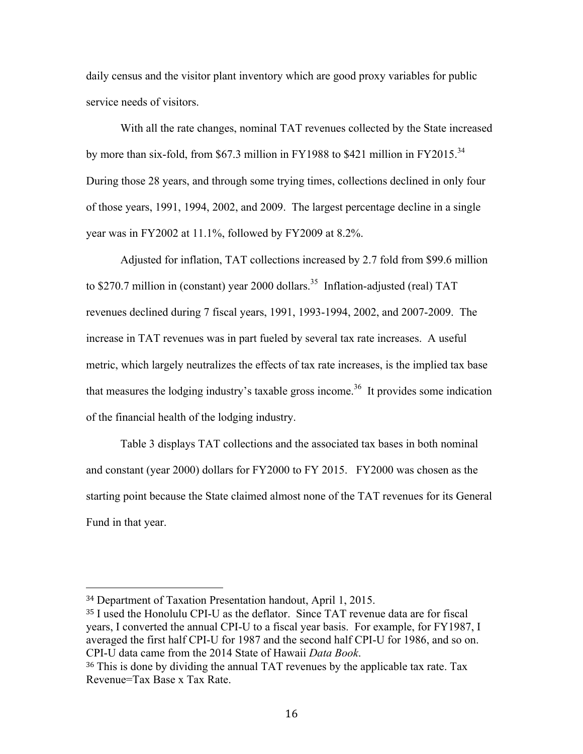daily census and the visitor plant inventory which are good proxy variables for public service needs of visitors.

With all the rate changes, nominal TAT revenues collected by the State increased by more than six-fold, from \$67.3 million in FY1988 to \$421 million in FY2015.<sup>34</sup> During those 28 years, and through some trying times, collections declined in only four of those years, 1991, 1994, 2002, and 2009. The largest percentage decline in a single year was in FY2002 at 11.1%, followed by FY2009 at 8.2%.

Adjusted for inflation, TAT collections increased by 2.7 fold from \$99.6 million to \$270.7 million in (constant) year 2000 dollars.<sup>35</sup> Inflation-adjusted (real) TAT revenues declined during 7 fiscal years, 1991, 1993-1994, 2002, and 2007-2009. The increase in TAT revenues was in part fueled by several tax rate increases. A useful metric, which largely neutralizes the effects of tax rate increases, is the implied tax base that measures the lodging industry's taxable gross income. 36 It provides some indication of the financial health of the lodging industry.

Table 3 displays TAT collections and the associated tax bases in both nominal and constant (year 2000) dollars for FY2000 to FY 2015. FY2000 was chosen as the starting point because the State claimed almost none of the TAT revenues for its General Fund in that year.

<sup>34</sup> Department of Taxation Presentation handout, April 1, 2015.

<sup>35</sup> I used the Honolulu CPI-U as the deflator. Since TAT revenue data are for fiscal years, I converted the annual CPI-U to a fiscal year basis. For example, for FY1987, I averaged the first half CPI-U for 1987 and the second half CPI-U for 1986, and so on. CPI-U data came from the 2014 State of Hawaii *Data Book*.

<sup>36</sup> This is done by dividing the annual TAT revenues by the applicable tax rate. Tax Revenue=Tax Base x Tax Rate.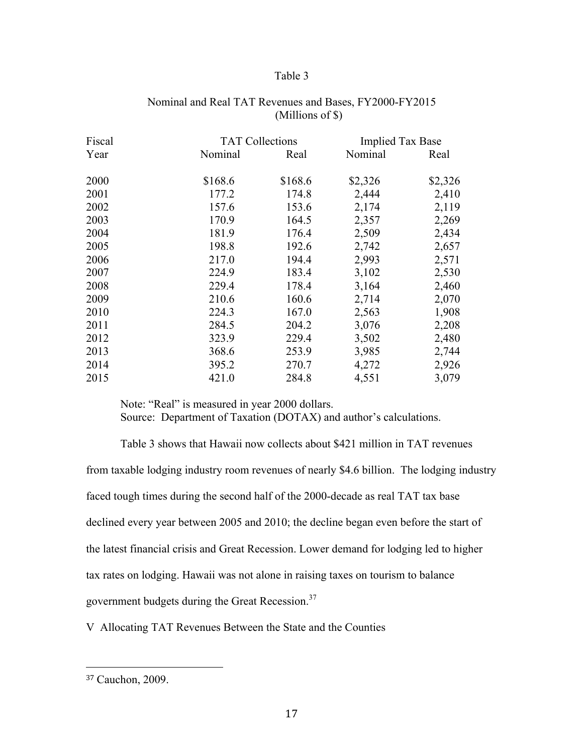#### Table 3

| Fiscal |         | <b>TAT Collections</b> |         | <b>Implied Tax Base</b> |
|--------|---------|------------------------|---------|-------------------------|
| Year   | Nominal | Real                   | Nominal | Real                    |
| 2000   | \$168.6 | \$168.6                | \$2,326 | \$2,326                 |
| 2001   | 177.2   | 174.8                  | 2,444   | 2,410                   |
| 2002   | 157.6   | 153.6                  | 2,174   | 2,119                   |
| 2003   | 170.9   | 164.5                  | 2,357   | 2,269                   |
| 2004   | 181.9   | 176.4                  | 2,509   | 2,434                   |
| 2005   | 198.8   | 192.6                  | 2,742   | 2,657                   |
| 2006   | 217.0   | 194.4                  | 2,993   | 2,571                   |
| 2007   | 224.9   | 183.4                  | 3,102   | 2,530                   |
| 2008   | 229.4   | 178.4                  | 3,164   | 2,460                   |
| 2009   | 210.6   | 160.6                  | 2,714   | 2,070                   |
| 2010   | 224.3   | 167.0                  | 2,563   | 1,908                   |
| 2011   | 284.5   | 204.2                  | 3,076   | 2,208                   |
| 2012   | 323.9   | 229.4                  | 3,502   | 2,480                   |
| 2013   | 368.6   | 253.9                  | 3,985   | 2,744                   |
| 2014   | 395.2   | 270.7                  | 4,272   | 2,926                   |
| 2015   | 421.0   | 284.8                  | 4,551   | 3,079                   |

#### Nominal and Real TAT Revenues and Bases, FY2000-FY2015 (Millions of \$)

Note: "Real" is measured in year 2000 dollars. Source: Department of Taxation (DOTAX) and author's calculations.

Table 3 shows that Hawaii now collects about \$421 million in TAT revenues from taxable lodging industry room revenues of nearly \$4.6 billion. The lodging industry faced tough times during the second half of the 2000-decade as real TAT tax base declined every year between 2005 and 2010; the decline began even before the start of the latest financial crisis and Great Recession. Lower demand for lodging led to higher tax rates on lodging. Hawaii was not alone in raising taxes on tourism to balance government budgets during the Great Recession. $37$ 

V Allocating TAT Revenues Between the State and the Counties

<sup>37</sup> Cauchon, 2009.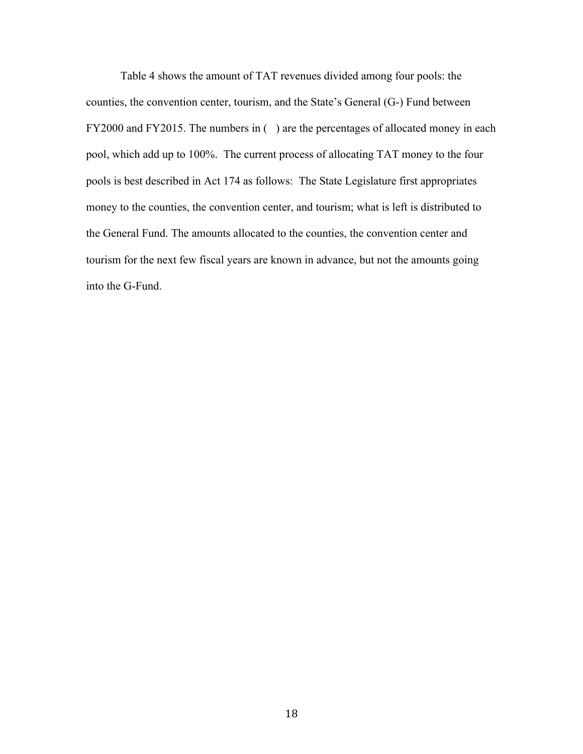Table 4 shows the amount of TAT revenues divided among four pools: the counties, the convention center, tourism, and the State's General (G-) Fund between FY2000 and FY2015. The numbers in () are the percentages of allocated money in each pool, which add up to 100%. The current process of allocating TAT money to the four pools is best described in Act 174 as follows: The State Legislature first appropriates money to the counties, the convention center, and tourism; what is left is distributed to the General Fund. The amounts allocated to the counties, the convention center and tourism for the next few fiscal years are known in advance, but not the amounts going into the G-Fund.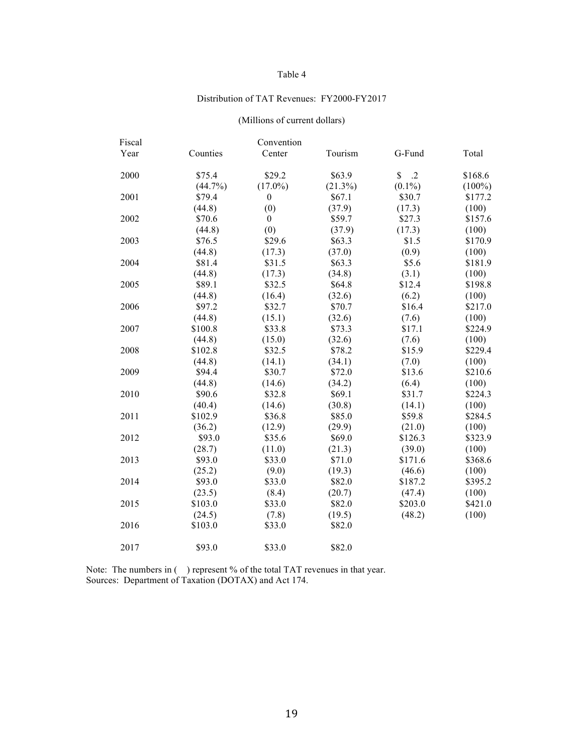#### Table 4

#### Distribution of TAT Revenues: FY2000-FY2017

#### (Millions of current dollars)

| Fiscal |            | Convention       |            |                            |           |
|--------|------------|------------------|------------|----------------------------|-----------|
| Year   | Counties   | Center           | Tourism    | G-Fund                     | Total     |
| 2000   | \$75.4     | \$29.2           | \$63.9     | $\mathbb{S}$<br>$\cdot$ .2 | \$168.6   |
|        | $(44.7\%)$ | $(17.0\%)$       | $(21.3\%)$ | $(0.1\%)$                  | $(100\%)$ |
| 2001   | \$79.4     | $\boldsymbol{0}$ | \$67.1     | \$30.7                     | \$177.2   |
|        | (44.8)     | (0)              | (37.9)     | (17.3)                     | (100)     |
| 2002   | \$70.6     | $\theta$         | \$59.7     | \$27.3                     | \$157.6   |
|        | (44.8)     | (0)              | (37.9)     | (17.3)                     | (100)     |
| 2003   | \$76.5     | \$29.6           | \$63.3     | \$1.5                      | \$170.9   |
|        | (44.8)     | (17.3)           | (37.0)     | (0.9)                      | (100)     |
| 2004   | \$81.4     | \$31.5           | \$63.3     | \$5.6                      | \$181.9   |
|        | (44.8)     | (17.3)           | (34.8)     | (3.1)                      | (100)     |
| 2005   | \$89.1     | \$32.5           | \$64.8     | \$12.4                     | \$198.8   |
|        | (44.8)     | (16.4)           | (32.6)     | (6.2)                      | (100)     |
| 2006   | \$97.2     | \$32.7           | \$70.7     | \$16.4                     | \$217.0   |
|        | (44.8)     | (15.1)           | (32.6)     | (7.6)                      | (100)     |
| 2007   | \$100.8    | \$33.8           | \$73.3     | \$17.1                     | \$224.9   |
|        | (44.8)     | (15.0)           | (32.6)     | (7.6)                      | (100)     |
| 2008   | \$102.8    | \$32.5           | \$78.2     | \$15.9                     | \$229.4   |
|        | (44.8)     | (14.1)           | (34.1)     | (7.0)                      | (100)     |
| 2009   | \$94.4     | \$30.7           | \$72.0     | \$13.6                     | \$210.6   |
|        | (44.8)     | (14.6)           | (34.2)     | (6.4)                      | (100)     |
| 2010   | \$90.6     | \$32.8           | \$69.1     | \$31.7                     | \$224.3   |
|        | (40.4)     | (14.6)           | (30.8)     | (14.1)                     | (100)     |
| 2011   | \$102.9    | \$36.8           | \$85.0     | \$59.8                     | \$284.5   |
|        | (36.2)     | (12.9)           | (29.9)     | (21.0)                     | (100)     |
| 2012   | \$93.0     | \$35.6           | \$69.0     | \$126.3                    | \$323.9   |
|        | (28.7)     | (11.0)           | (21.3)     | (39.0)                     | (100)     |
| 2013   | \$93.0     | \$33.0           | \$71.0     | \$171.6                    | \$368.6   |
|        | (25.2)     | (9.0)            | (19.3)     | (46.6)                     | (100)     |
| 2014   | \$93.0     | \$33.0           | \$82.0     | \$187.2                    | \$395.2   |
|        | (23.5)     | (8.4)            | (20.7)     | (47.4)                     | (100)     |
| 2015   | \$103.0    | \$33.0           | \$82.0     | \$203.0                    | \$421.0   |
|        | (24.5)     | (7.8)            | (19.5)     | (48.2)                     | (100)     |
| 2016   | \$103.0    | \$33.0           | \$82.0     |                            |           |
| 2017   | \$93.0     | \$33.0           | \$82.0     |                            |           |
|        |            |                  |            |                            |           |

Note: The numbers in () represent % of the total TAT revenues in that year. Sources: Department of Taxation (DOTAX) and Act 174.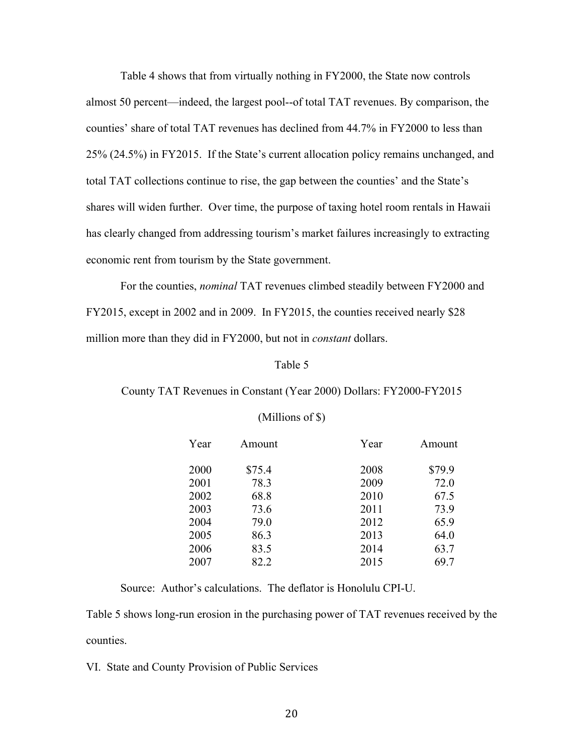Table 4 shows that from virtually nothing in FY2000, the State now controls almost 50 percent—indeed, the largest pool--of total TAT revenues. By comparison, the counties' share of total TAT revenues has declined from 44.7% in FY2000 to less than 25% (24.5%) in FY2015. If the State's current allocation policy remains unchanged, and total TAT collections continue to rise, the gap between the counties' and the State's shares will widen further. Over time, the purpose of taxing hotel room rentals in Hawaii has clearly changed from addressing tourism's market failures increasingly to extracting economic rent from tourism by the State government.

For the counties, *nominal* TAT revenues climbed steadily between FY2000 and FY2015, except in 2002 and in 2009. In FY2015, the counties received nearly \$28 million more than they did in FY2000, but not in *constant* dollars.

#### Table 5

#### County TAT Revenues in Constant (Year 2000) Dollars: FY2000-FY2015

| Year | Amount | Year | Amount |
|------|--------|------|--------|
| 2000 | \$75.4 | 2008 | \$79.9 |
|      |        |      |        |
| 2001 | 78.3   | 2009 | 72.0   |
| 2002 | 68.8   | 2010 | 67.5   |
| 2003 | 73.6   | 2011 | 73.9   |
| 2004 | 79.0   | 2012 | 65.9   |
| 2005 | 86.3   | 2013 | 64.0   |
| 2006 | 83.5   | 2014 | 63.7   |
| 2007 | 82.2   | 2015 | 69.7   |

#### (Millions of \$)

Source: Author's calculations. The deflator is Honolulu CPI-U.

Table 5 shows long-run erosion in the purchasing power of TAT revenues received by the counties.

VI. State and County Provision of Public Services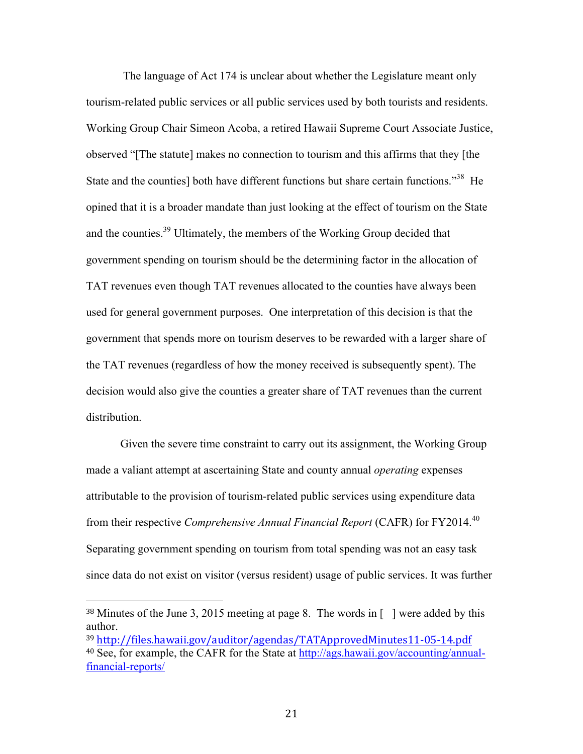The language of Act 174 is unclear about whether the Legislature meant only tourism-related public services or all public services used by both tourists and residents. Working Group Chair Simeon Acoba, a retired Hawaii Supreme Court Associate Justice, observed "[The statute] makes no connection to tourism and this affirms that they [the State and the counties] both have different functions but share certain functions.<sup>38</sup> He opined that it is a broader mandate than just looking at the effect of tourism on the State and the counties.39 Ultimately, the members of the Working Group decided that government spending on tourism should be the determining factor in the allocation of TAT revenues even though TAT revenues allocated to the counties have always been used for general government purposes. One interpretation of this decision is that the government that spends more on tourism deserves to be rewarded with a larger share of the TAT revenues (regardless of how the money received is subsequently spent). The decision would also give the counties a greater share of TAT revenues than the current distribution.

Given the severe time constraint to carry out its assignment, the Working Group made a valiant attempt at ascertaining State and county annual *operating* expenses attributable to the provision of tourism-related public services using expenditure data from their respective *Comprehensive Annual Financial Report* (CAFR) for FY2014. 40 Separating government spending on tourism from total spending was not an easy task since data do not exist on visitor (versus resident) usage of public services. It was further

<sup>&</sup>lt;sup>38</sup> Minutes of the June 3, 2015 meeting at page 8. The words in [ ] were added by this author.

<sup>39</sup> http://files.hawaii.gov/auditor/agendas/TATApprovedMinutes11-05-14.pdf <sup>40</sup> See, for example, the CAFR for the State at http://ags.hawaii.gov/accounting/annualfinancial-reports/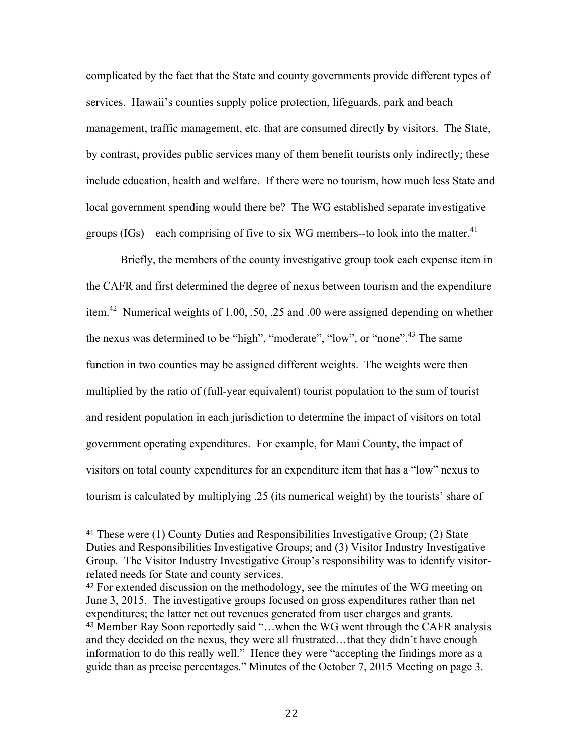complicated by the fact that the State and county governments provide different types of services. Hawaii's counties supply police protection, lifeguards, park and beach management, traffic management, etc. that are consumed directly by visitors. The State, by contrast, provides public services many of them benefit tourists only indirectly; these include education, health and welfare. If there were no tourism, how much less State and local government spending would there be? The WG established separate investigative groups (IGs)—each comprising of five to six WG members--to look into the matter. $41$ 

Briefly, the members of the county investigative group took each expense item in the CAFR and first determined the degree of nexus between tourism and the expenditure item.42 Numerical weights of 1.00, .50, .25 and .00 were assigned depending on whether the nexus was determined to be "high", "moderate", "low", or "none".<sup>43</sup> The same function in two counties may be assigned different weights. The weights were then multiplied by the ratio of (full-year equivalent) tourist population to the sum of tourist and resident population in each jurisdiction to determine the impact of visitors on total government operating expenditures. For example, for Maui County, the impact of visitors on total county expenditures for an expenditure item that has a "low" nexus to tourism is calculated by multiplying .25 (its numerical weight) by the tourists' share of

<sup>41</sup> These were (1) County Duties and Responsibilities Investigative Group; (2) State Duties and Responsibilities Investigative Groups; and (3) Visitor Industry Investigative Group. The Visitor Industry Investigative Group's responsibility was to identify visitorrelated needs for State and county services.

<sup>&</sup>lt;sup>42</sup> For extended discussion on the methodology, see the minutes of the WG meeting on June 3, 2015. The investigative groups focused on gross expenditures rather than net expenditures; the latter net out revenues generated from user charges and grants. 43 Member Ray Soon reportedly said "...when the WG went through the CAFR analysis and they decided on the nexus, they were all frustrated…that they didn't have enough information to do this really well." Hence they were "accepting the findings more as a guide than as precise percentages." Minutes of the October 7, 2015 Meeting on page 3.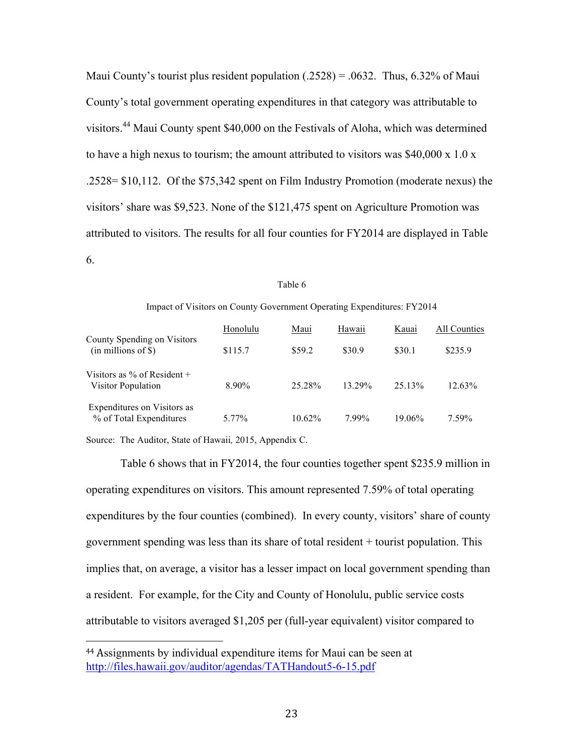Maui County's tourist plus resident population  $(.2528) = .0632$ . Thus, 6.32% of Maui County's total government operating expenditures in that category was attributable to visitors.<sup>44</sup> Maui County spent \$40,000 on the Festivals of Aloha, which was determined to have a high nexus to tourism; the amount attributed to visitors was  $$40,000 \times 1.0 \times$ .2528= \$10,112. Of the \$75,342 spent on Film Industry Promotion (moderate nexus) the visitors' share was \$9,523. None of the \$121,475 spent on Agriculture Promotion was attributed to visitors. The results for all four counties for FY2014 are displayed in Table 6.

#### Table 6

#### Impact of Visitors on County Government Operating Expenditures: FY2014

|                                                        | Honolulu | Maui   | Hawaii | Kauai  | All Counties |  |  |
|--------------------------------------------------------|----------|--------|--------|--------|--------------|--|--|
| County Spending on Visitors<br>$(in$ millions of $\})$ | \$115.7  | \$59.2 | \$30.9 | \$30.1 | \$235.9      |  |  |
| Visitors as $\%$ of Resident +<br>Visitor Population   | 8.90%    | 25.28% | 13 29% | 25.13% | 12.63%       |  |  |
| Expenditures on Visitors as<br>% of Total Expenditures | 5.77%    | 10.62% | 799%   | 19.06% | 7.59%        |  |  |

Source: The Auditor, State of Hawaii*,* 2015, Appendix C.

!!!!!!!!!!!!!!!!!!!!!!!!!!!!!!!!!!!!!!!!!!!!!!!!!!!!!!!

Table 6 shows that in FY2014, the four counties together spent \$235.9 million in operating expenditures on visitors. This amount represented 7.59% of total operating expenditures by the four counties (combined). In every county, visitors' share of county government spending was less than its share of total resident + tourist population. This implies that, on average, a visitor has a lesser impact on local government spending than a resident. For example, for the City and County of Honolulu, public service costs attributable to visitors averaged \$1,205 per (full-year equivalent) visitor compared to

<sup>44</sup> Assignments by individual expenditure items for Maui can be seen at http://files.hawaii.gov/auditor/agendas/TATHandout5-6-15.pdf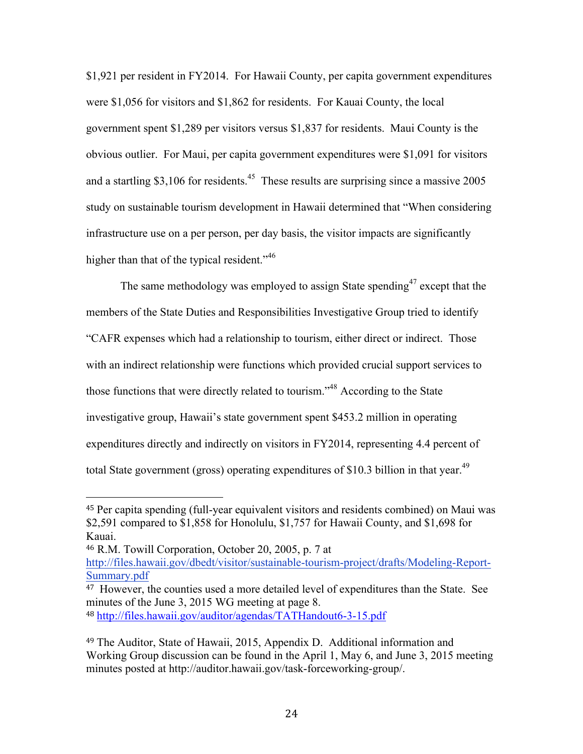\$1,921 per resident in FY2014. For Hawaii County, per capita government expenditures were \$1,056 for visitors and \$1,862 for residents. For Kauai County, the local government spent \$1,289 per visitors versus \$1,837 for residents. Maui County is the obvious outlier. For Maui, per capita government expenditures were \$1,091 for visitors and a startling \$3,106 for residents.<sup>45</sup> These results are surprising since a massive 2005 study on sustainable tourism development in Hawaii determined that "When considering infrastructure use on a per person, per day basis, the visitor impacts are significantly higher than that of the typical resident."<sup>46</sup>

The same methodology was employed to assign State spending<sup>47</sup> except that the members of the State Duties and Responsibilities Investigative Group tried to identify "CAFR expenses which had a relationship to tourism, either direct or indirect. Those with an indirect relationship were functions which provided crucial support services to those functions that were directly related to tourism."48 According to the State investigative group, Hawaii's state government spent \$453.2 million in operating expenditures directly and indirectly on visitors in FY2014, representing 4.4 percent of total State government (gross) operating expenditures of \$10.3 billion in that year.<sup>49</sup>

<sup>48</sup> http://files.hawaii.gov/auditor/agendas/TATHandout6-3-15.pdf

<sup>45</sup> Per capita spending (full-year equivalent visitors and residents combined) on Maui was \$2,591 compared to \$1,858 for Honolulu, \$1,757 for Hawaii County, and \$1,698 for Kauai.

<sup>46</sup> R.M. Towill Corporation, October 20, 2005, p. 7 at http://files.hawaii.gov/dbedt/visitor/sustainable-tourism-project/drafts/Modeling-Report-Summary.pdf

<sup>&</sup>lt;sup>47</sup> However, the counties used a more detailed level of expenditures than the State. See minutes of the June 3, 2015 WG meeting at page 8.

<sup>49</sup> The Auditor, State of Hawaii, 2015, Appendix D. Additional information and Working Group discussion can be found in the April 1, May 6, and June 3, 2015 meeting minutes posted at http://auditor.hawaii.gov/task-forceworking-group/.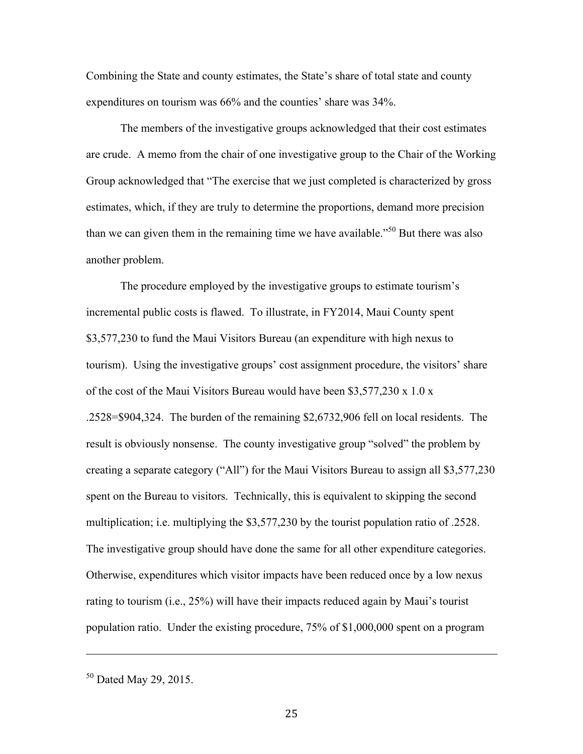Combining the State and county estimates, the State's share of total state and county expenditures on tourism was 66% and the counties' share was 34%.

The members of the investigative groups acknowledged that their cost estimates are crude. A memo from the chair of one investigative group to the Chair of the Working Group acknowledged that "The exercise that we just completed is characterized by gross estimates, which, if they are truly to determine the proportions, demand more precision than we can given them in the remaining time we have available."<sup>50</sup> But there was also another problem.

The procedure employed by the investigative groups to estimate tourism's incremental public costs is flawed. To illustrate, in FY2014, Maui County spent \$3,577,230 to fund the Maui Visitors Bureau (an expenditure with high nexus to tourism). Using the investigative groups' cost assignment procedure, the visitors' share of the cost of the Maui Visitors Bureau would have been \$3,577,230 x 1.0 x .2528=\$904,324. The burden of the remaining \$2,6732,906 fell on local residents. The result is obviously nonsense. The county investigative group "solved" the problem by creating a separate category ("All") for the Maui Visitors Bureau to assign all \$3,577,230 spent on the Bureau to visitors. Technically, this is equivalent to skipping the second multiplication; i.e. multiplying the \$3,577,230 by the tourist population ratio of .2528. The investigative group should have done the same for all other expenditure categories. Otherwise, expenditures which visitor impacts have been reduced once by a low nexus rating to tourism (i.e., 25%) will have their impacts reduced again by Maui's tourist population ratio. Under the existing procedure, 75% of \$1,000,000 spent on a program

!!!!!!!!!!!!!!!!!!!!!!!!!!!!!!!!!!!!!!!!!!!!!!!!!!!!!!!!!!!!!!!!!!!!!!!!!!!!!!!!!!!!!!!!!!!!!!!!!!!!!!!!!!!!!!!!!!!!!!!!!!!!!!!!!!!!!!!!!!!!!!!!!!!!!!!!!!!!!!!!!!!!

<sup>50</sup> Dated May 29, 2015.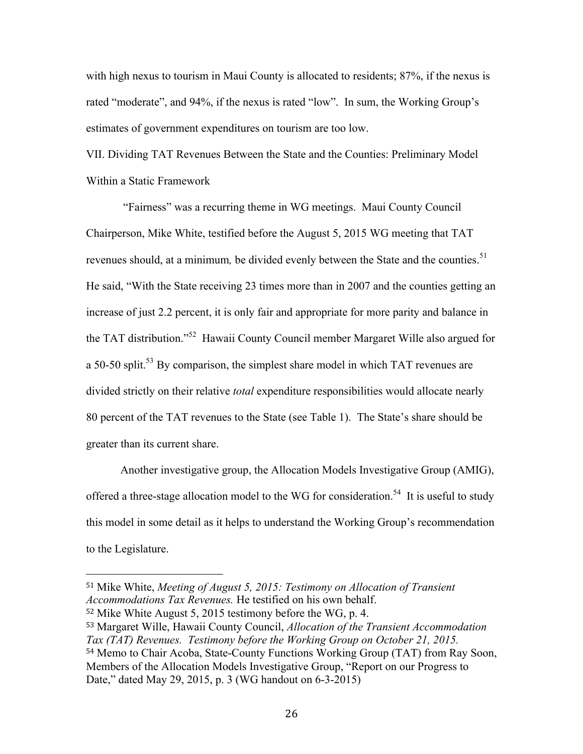with high nexus to tourism in Maui County is allocated to residents; 87%, if the nexus is rated "moderate", and 94%, if the nexus is rated "low". In sum, the Working Group's estimates of government expenditures on tourism are too low.

VII. Dividing TAT Revenues Between the State and the Counties: Preliminary Model Within a Static Framework

"Fairness" was a recurring theme in WG meetings. Maui County Council Chairperson, Mike White, testified before the August 5, 2015 WG meeting that TAT revenues should, at a minimum*,* be divided evenly between the State and the counties. 51 He said, "With the State receiving 23 times more than in 2007 and the counties getting an increase of just 2.2 percent, it is only fair and appropriate for more parity and balance in the TAT distribution."52 Hawaii County Council member Margaret Wille also argued for a 50-50 split.<sup>53</sup> By comparison, the simplest share model in which TAT revenues are divided strictly on their relative *total* expenditure responsibilities would allocate nearly 80 percent of the TAT revenues to the State (see Table 1). The State's share should be greater than its current share.

Another investigative group, the Allocation Models Investigative Group (AMIG), offered a three-stage allocation model to the WG for consideration.<sup>54</sup> It is useful to study this model in some detail as it helps to understand the Working Group's recommendation to the Legislature.

<sup>52</sup> Mike White August 5, 2015 testimony before the WG, p. 4.

<sup>51</sup> Mike White, *Meeting of August 5, 2015: Testimony on Allocation of Transient Accommodations Tax Revenues.* He testified on his own behalf.

<sup>53</sup> Margaret Wille, Hawaii County Council, *Allocation of the Transient Accommodation Tax (TAT) Revenues. Testimony before the Working Group on October 21, 2015.* <sup>54</sup> Memo to Chair Acoba, State-County Functions Working Group (TAT) from Ray Soon, Members of the Allocation Models Investigative Group, "Report on our Progress to Date," dated May 29, 2015, p. 3 (WG handout on 6-3-2015)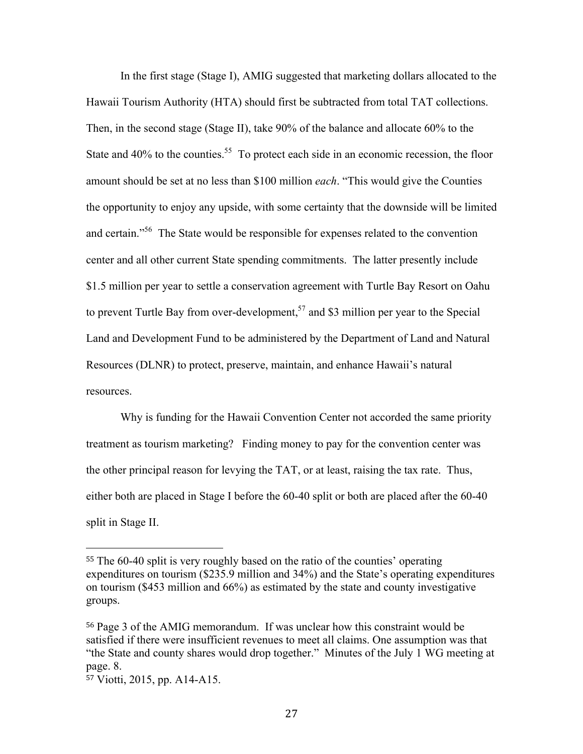In the first stage (Stage I), AMIG suggested that marketing dollars allocated to the Hawaii Tourism Authority (HTA) should first be subtracted from total TAT collections. Then, in the second stage (Stage II), take 90% of the balance and allocate 60% to the State and  $40\%$  to the counties.<sup>55</sup> To protect each side in an economic recession, the floor amount should be set at no less than \$100 million *each*. "This would give the Counties the opportunity to enjoy any upside, with some certainty that the downside will be limited and certain."56 The State would be responsible for expenses related to the convention center and all other current State spending commitments. The latter presently include \$1.5 million per year to settle a conservation agreement with Turtle Bay Resort on Oahu to prevent Turtle Bay from over-development,<sup>57</sup> and \$3 million per year to the Special Land and Development Fund to be administered by the Department of Land and Natural Resources (DLNR) to protect, preserve, maintain, and enhance Hawaii's natural resources.

Why is funding for the Hawaii Convention Center not accorded the same priority treatment as tourism marketing? Finding money to pay for the convention center was the other principal reason for levying the TAT, or at least, raising the tax rate. Thus, either both are placed in Stage I before the 60-40 split or both are placed after the 60-40 split in Stage II.

<sup>55</sup> The 60-40 split is very roughly based on the ratio of the counties' operating expenditures on tourism (\$235.9 million and 34%) and the State's operating expenditures on tourism (\$453 million and 66%) as estimated by the state and county investigative groups.

<sup>56</sup> Page 3 of the AMIG memorandum. If was unclear how this constraint would be satisfied if there were insufficient revenues to meet all claims. One assumption was that "the State and county shares would drop together." Minutes of the July 1 WG meeting at page. 8.

<sup>57</sup> Viotti, 2015, pp. A14-A15.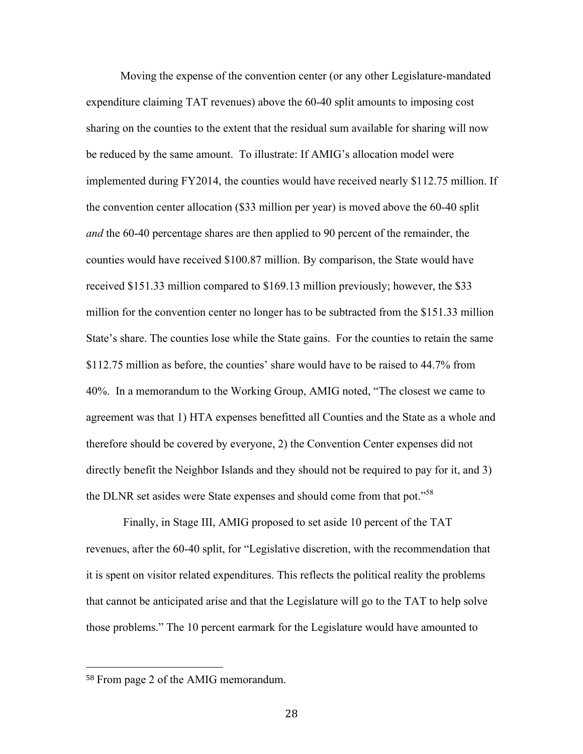Moving the expense of the convention center (or any other Legislature-mandated expenditure claiming TAT revenues) above the 60-40 split amounts to imposing cost sharing on the counties to the extent that the residual sum available for sharing will now be reduced by the same amount. To illustrate: If AMIG's allocation model were implemented during FY2014, the counties would have received nearly \$112.75 million. If the convention center allocation (\$33 million per year) is moved above the 60-40 split *and* the 60-40 percentage shares are then applied to 90 percent of the remainder, the counties would have received \$100.87 million. By comparison, the State would have received \$151.33 million compared to \$169.13 million previously; however, the \$33 million for the convention center no longer has to be subtracted from the \$151.33 million State's share. The counties lose while the State gains. For the counties to retain the same \$112.75 million as before, the counties' share would have to be raised to 44.7% from 40%. In a memorandum to the Working Group, AMIG noted, "The closest we came to agreement was that 1) HTA expenses benefitted all Counties and the State as a whole and therefore should be covered by everyone, 2) the Convention Center expenses did not directly benefit the Neighbor Islands and they should not be required to pay for it, and 3) the DLNR set asides were State expenses and should come from that pot."<sup>58</sup>

Finally, in Stage III, AMIG proposed to set aside 10 percent of the TAT revenues, after the 60-40 split, for "Legislative discretion, with the recommendation that it is spent on visitor related expenditures. This reflects the political reality the problems that cannot be anticipated arise and that the Legislature will go to the TAT to help solve those problems." The 10 percent earmark for the Legislature would have amounted to

<sup>58</sup> From page 2 of the AMIG memorandum.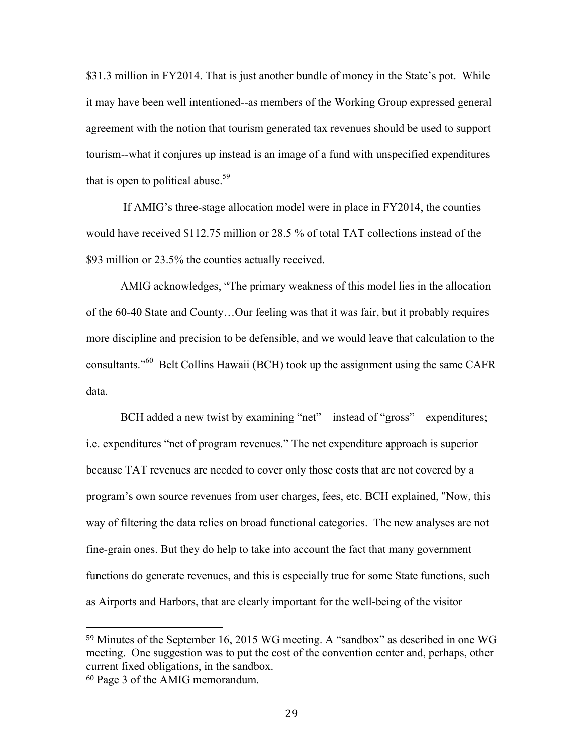\$31.3 million in FY2014. That is just another bundle of money in the State's pot. While it may have been well intentioned--as members of the Working Group expressed general agreement with the notion that tourism generated tax revenues should be used to support tourism--what it conjures up instead is an image of a fund with unspecified expenditures that is open to political abuse.<sup>59</sup>

If AMIG's three-stage allocation model were in place in FY2014, the counties would have received \$112.75 million or 28.5 % of total TAT collections instead of the \$93 million or 23.5% the counties actually received.

AMIG acknowledges, "The primary weakness of this model lies in the allocation of the 60-40 State and County…Our feeling was that it was fair, but it probably requires more discipline and precision to be defensible, and we would leave that calculation to the consultants."60 Belt Collins Hawaii (BCH) took up the assignment using the same CAFR data.

BCH added a new twist by examining "net"—instead of "gross"—expenditures; i.e. expenditures "net of program revenues." The net expenditure approach is superior because TAT revenues are needed to cover only those costs that are not covered by a program's own source revenues from user charges, fees, etc. BCH explained, "Now, this way of filtering the data relies on broad functional categories. The new analyses are not fine-grain ones. But they do help to take into account the fact that many government functions do generate revenues, and this is especially true for some State functions, such as Airports and Harbors, that are clearly important for the well-being of the visitor

<sup>59</sup> Minutes of the September 16, 2015 WG meeting. A "sandbox" as described in one WG meeting. One suggestion was to put the cost of the convention center and, perhaps, other current fixed obligations, in the sandbox.

<sup>60</sup> Page 3 of the AMIG memorandum.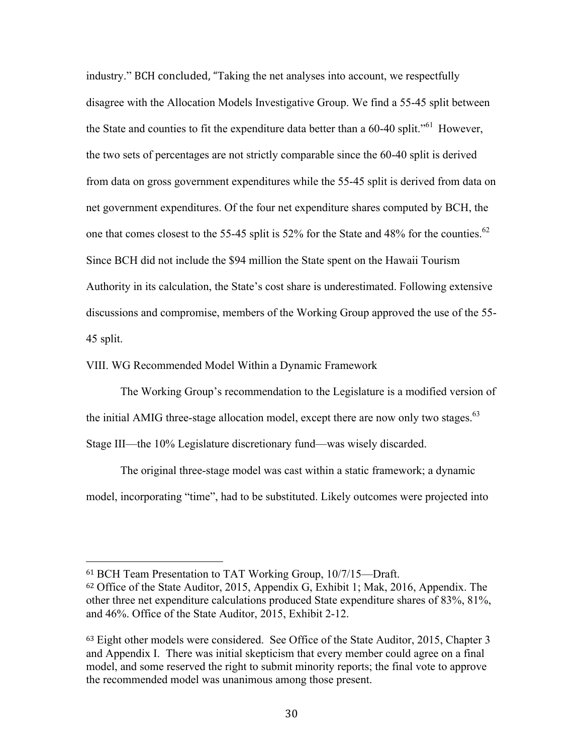industry." BCH concluded, "Taking the net analyses into account, we respectfully disagree with the Allocation Models Investigative Group. We find a 55-45 split between the State and counties to fit the expenditure data better than a 60-40 split."<sup>61</sup> However, the two sets of percentages are not strictly comparable since the 60-40 split is derived from data on gross government expenditures while the 55-45 split is derived from data on net government expenditures. Of the four net expenditure shares computed by BCH, the one that comes closest to the 55-45 split is 52% for the State and 48% for the counties.<sup>62</sup> Since BCH did not include the \$94 million the State spent on the Hawaii Tourism Authority in its calculation, the State's cost share is underestimated. Following extensive discussions and compromise, members of the Working Group approved the use of the 55- 45 split.

VIII. WG Recommended Model Within a Dynamic Framework

!!!!!!!!!!!!!!!!!!!!!!!!!!!!!!!!!!!!!!!!!!!!!!!!!!!!!!!

The Working Group's recommendation to the Legislature is a modified version of the initial AMIG three-stage allocation model, except there are now only two stages.<sup>63</sup> Stage III—the 10% Legislature discretionary fund—was wisely discarded.

The original three-stage model was cast within a static framework; a dynamic model, incorporating "time", had to be substituted. Likely outcomes were projected into

<sup>61</sup> BCH Team Presentation to TAT Working Group, 10/7/15—Draft. <sup>62</sup> Office of the State Auditor, 2015, Appendix G, Exhibit 1; Mak, 2016, Appendix. The other three net expenditure calculations produced State expenditure shares of 83%, 81%, and 46%. Office of the State Auditor, 2015, Exhibit 2-12.

<sup>63</sup> Eight other models were considered. See Office of the State Auditor, 2015, Chapter 3 and Appendix I. There was initial skepticism that every member could agree on a final model, and some reserved the right to submit minority reports; the final vote to approve the recommended model was unanimous among those present.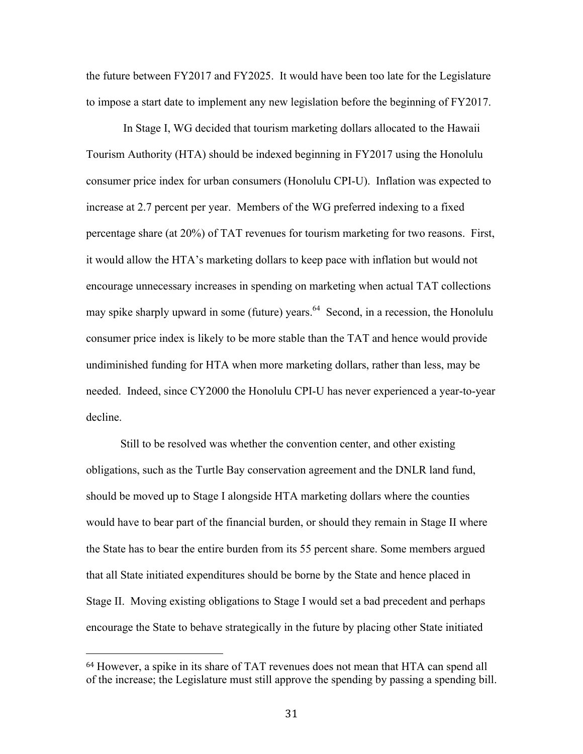the future between FY2017 and FY2025. It would have been too late for the Legislature to impose a start date to implement any new legislation before the beginning of FY2017.

In Stage I, WG decided that tourism marketing dollars allocated to the Hawaii Tourism Authority (HTA) should be indexed beginning in FY2017 using the Honolulu consumer price index for urban consumers (Honolulu CPI-U). Inflation was expected to increase at 2.7 percent per year. Members of the WG preferred indexing to a fixed percentage share (at 20%) of TAT revenues for tourism marketing for two reasons. First, it would allow the HTA's marketing dollars to keep pace with inflation but would not encourage unnecessary increases in spending on marketing when actual TAT collections may spike sharply upward in some (future) years.<sup>64</sup> Second, in a recession, the Honolulu consumer price index is likely to be more stable than the TAT and hence would provide undiminished funding for HTA when more marketing dollars, rather than less, may be needed. Indeed, since CY2000 the Honolulu CPI-U has never experienced a year-to-year decline.

Still to be resolved was whether the convention center, and other existing obligations, such as the Turtle Bay conservation agreement and the DNLR land fund, should be moved up to Stage I alongside HTA marketing dollars where the counties would have to bear part of the financial burden, or should they remain in Stage II where the State has to bear the entire burden from its 55 percent share. Some members argued that all State initiated expenditures should be borne by the State and hence placed in Stage II. Moving existing obligations to Stage I would set a bad precedent and perhaps encourage the State to behave strategically in the future by placing other State initiated

<sup>64</sup> However, a spike in its share of TAT revenues does not mean that HTA can spend all of the increase; the Legislature must still approve the spending by passing a spending bill.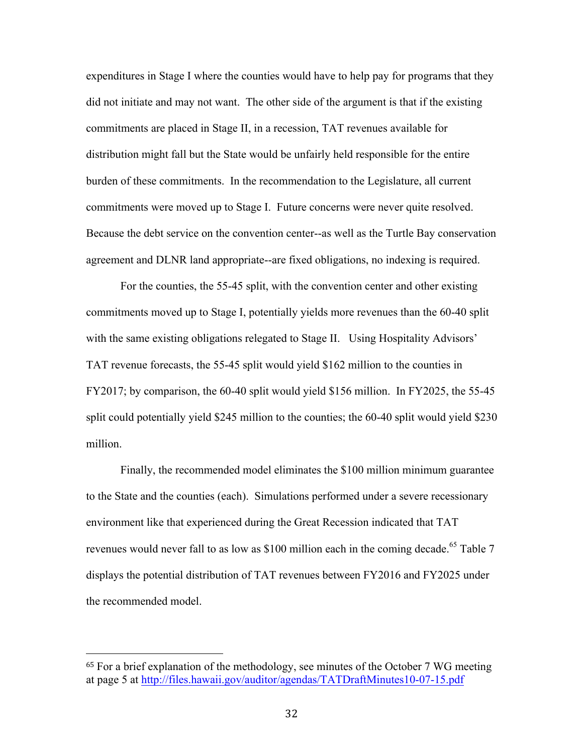expenditures in Stage I where the counties would have to help pay for programs that they did not initiate and may not want. The other side of the argument is that if the existing commitments are placed in Stage II, in a recession, TAT revenues available for distribution might fall but the State would be unfairly held responsible for the entire burden of these commitments. In the recommendation to the Legislature, all current commitments were moved up to Stage I. Future concerns were never quite resolved. Because the debt service on the convention center--as well as the Turtle Bay conservation agreement and DLNR land appropriate--are fixed obligations, no indexing is required.

For the counties, the 55-45 split, with the convention center and other existing commitments moved up to Stage I, potentially yields more revenues than the 60-40 split with the same existing obligations relegated to Stage II. Using Hospitality Advisors' TAT revenue forecasts, the 55-45 split would yield \$162 million to the counties in FY2017; by comparison, the 60-40 split would yield \$156 million. In FY2025, the 55-45 split could potentially yield \$245 million to the counties; the 60-40 split would yield \$230 million.

Finally, the recommended model eliminates the \$100 million minimum guarantee to the State and the counties (each). Simulations performed under a severe recessionary environment like that experienced during the Great Recession indicated that TAT revenues would never fall to as low as \$100 million each in the coming decade.<sup>65</sup> Table 7 displays the potential distribution of TAT revenues between FY2016 and FY2025 under the recommended model.

<sup>65</sup> For a brief explanation of the methodology, see minutes of the October 7 WG meeting at page 5 at http://files.hawaii.gov/auditor/agendas/TATDraftMinutes10-07-15.pdf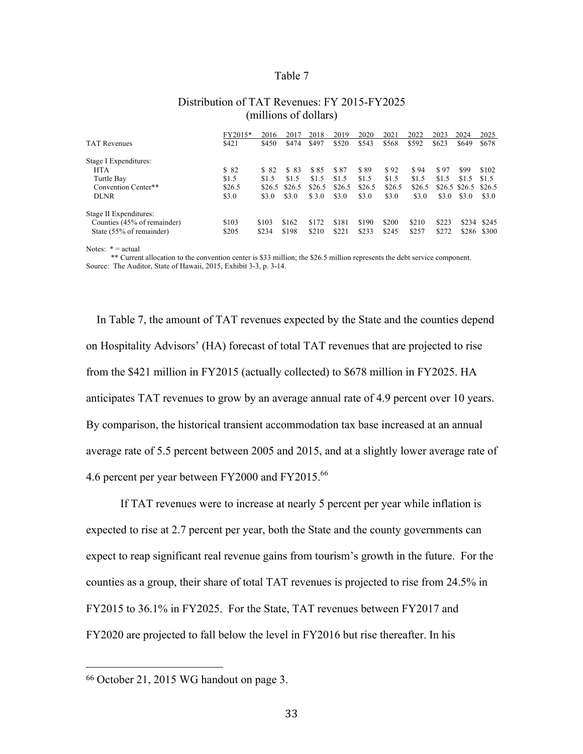#### Table 7

| Distribution of TAT Revenues: FY 2015-FY2025 |  |
|----------------------------------------------|--|
| (millions of dollars)                        |  |

|                             | FY2015* | 2016   | 2017   | 2018   | 2019   | 2020   | 2021   | 2022   | 2023  | 2024           | 2025   |
|-----------------------------|---------|--------|--------|--------|--------|--------|--------|--------|-------|----------------|--------|
| <b>TAT Revenues</b>         | \$421   | \$450  | \$474  | \$497  | \$520  | \$543  | \$568  | \$592  | \$623 | \$649          | \$678  |
| Stage I Expenditures:       |         |        |        |        |        |        |        |        |       |                |        |
| <b>HTA</b>                  | \$82    | \$ 82  | \$ 83  | \$85   | \$87   | \$89   | \$92   | \$94   | \$97  | \$99           | \$102  |
| Turtle Bay                  | \$1.5   | \$1.5  | \$1.5  | \$1.5  | \$1.5  | \$1.5  | \$1.5  | \$1.5  | \$1.5 | \$1.5          | \$1.5  |
| Convention Center**         | \$26.5  | \$26.5 | \$26.5 | \$26.5 | \$26.5 | \$26.5 | \$26.5 | \$26.5 |       | $$26.5$ \$26.5 | \$26.5 |
| <b>DLNR</b>                 | \$3.0   | \$3.0  | \$3.0  | \$ 3.0 | \$3.0  | \$3.0  | \$3.0  | \$3.0  | \$3.0 | \$3.0          | \$3.0  |
| Stage II Expenditures:      |         |        |        |        |        |        |        |        |       |                |        |
| Counties (45% of remainder) | \$103   | \$103  | \$162  | \$172  | \$181  | \$190  | \$200  | \$210  | \$223 | \$234          | \$245  |
| State (55% of remainder)    | \$205   | \$234  | \$198  | \$210  | \$221  | \$233  | \$245  | \$257  | \$272 | \$286          | \$300  |

Notes:  $* = actual$ 

\*\* Current allocation to the convention center is \$33 million; the \$26.5 million represents the debt service component. Source: The Auditor, State of Hawaii, 2015, Exhibit 3-3, p. 3-14.

In Table 7, the amount of TAT revenues expected by the State and the counties depend on Hospitality Advisors' (HA) forecast of total TAT revenues that are projected to rise from the \$421 million in FY2015 (actually collected) to \$678 million in FY2025. HA anticipates TAT revenues to grow by an average annual rate of 4.9 percent over 10 years. By comparison, the historical transient accommodation tax base increased at an annual average rate of 5.5 percent between 2005 and 2015, and at a slightly lower average rate of 4.6 percent per year between FY2000 and FY2015.<sup>66</sup>

If TAT revenues were to increase at nearly 5 percent per year while inflation is expected to rise at 2.7 percent per year, both the State and the county governments can expect to reap significant real revenue gains from tourism's growth in the future. For the counties as a group, their share of total TAT revenues is projected to rise from 24.5% in FY2015 to 36.1% in FY2025. For the State, TAT revenues between FY2017 and FY2020 are projected to fall below the level in FY2016 but rise thereafter. In his

<sup>66</sup> October 21, 2015 WG handout on page 3.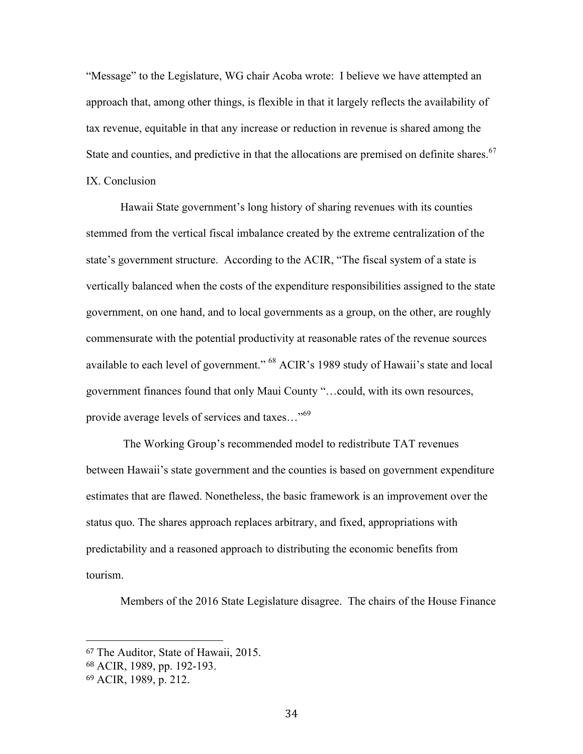"Message" to the Legislature, WG chair Acoba wrote: I believe we have attempted an approach that, among other things, is flexible in that it largely reflects the availability of tax revenue, equitable in that any increase or reduction in revenue is shared among the State and counties, and predictive in that the allocations are premised on definite shares.<sup>67</sup> IX. Conclusion

Hawaii State government's long history of sharing revenues with its counties stemmed from the vertical fiscal imbalance created by the extreme centralization of the state's government structure. According to the ACIR, "The fiscal system of a state is vertically balanced when the costs of the expenditure responsibilities assigned to the state government, on one hand, and to local governments as a group, on the other, are roughly commensurate with the potential productivity at reasonable rates of the revenue sources available to each level of government." 68 ACIR's 1989 study of Hawaii's state and local government finances found that only Maui County "…could, with its own resources, provide average levels of services and taxes…"<sup>69</sup>

The Working Group's recommended model to redistribute TAT revenues between Hawaii's state government and the counties is based on government expenditure estimates that are flawed. Nonetheless, the basic framework is an improvement over the status quo. The shares approach replaces arbitrary, and fixed, appropriations with predictability and a reasoned approach to distributing the economic benefits from tourism.

Members of the 2016 State Legislature disagree. The chairs of the House Finance

<sup>67</sup> The Auditor, State of Hawaii, 2015.

<sup>68</sup> ACIR, 1989, pp. 192-193.

<sup>69</sup> ACIR, 1989, p. 212.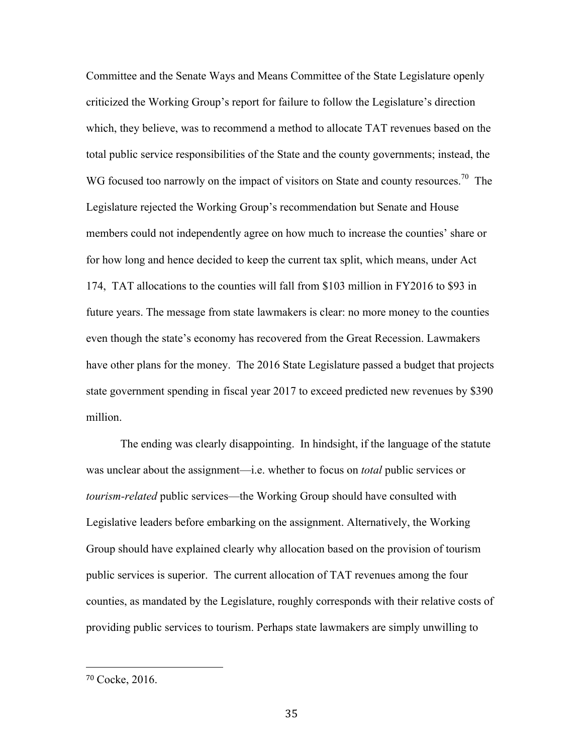Committee and the Senate Ways and Means Committee of the State Legislature openly criticized the Working Group's report for failure to follow the Legislature's direction which, they believe, was to recommend a method to allocate TAT revenues based on the total public service responsibilities of the State and the county governments; instead, the WG focused too narrowly on the impact of visitors on State and county resources.<sup>70</sup> The Legislature rejected the Working Group's recommendation but Senate and House members could not independently agree on how much to increase the counties' share or for how long and hence decided to keep the current tax split, which means, under Act 174, TAT allocations to the counties will fall from \$103 million in FY2016 to \$93 in future years. The message from state lawmakers is clear: no more money to the counties even though the state's economy has recovered from the Great Recession. Lawmakers have other plans for the money. The 2016 State Legislature passed a budget that projects state government spending in fiscal year 2017 to exceed predicted new revenues by \$390 million.

The ending was clearly disappointing. In hindsight, if the language of the statute was unclear about the assignment—i.e. whether to focus on *total* public services or *tourism-related* public services—the Working Group should have consulted with Legislative leaders before embarking on the assignment. Alternatively, the Working Group should have explained clearly why allocation based on the provision of tourism public services is superior. The current allocation of TAT revenues among the four counties, as mandated by the Legislature, roughly corresponds with their relative costs of providing public services to tourism. Perhaps state lawmakers are simply unwilling to

<sup>70</sup> Cocke, 2016.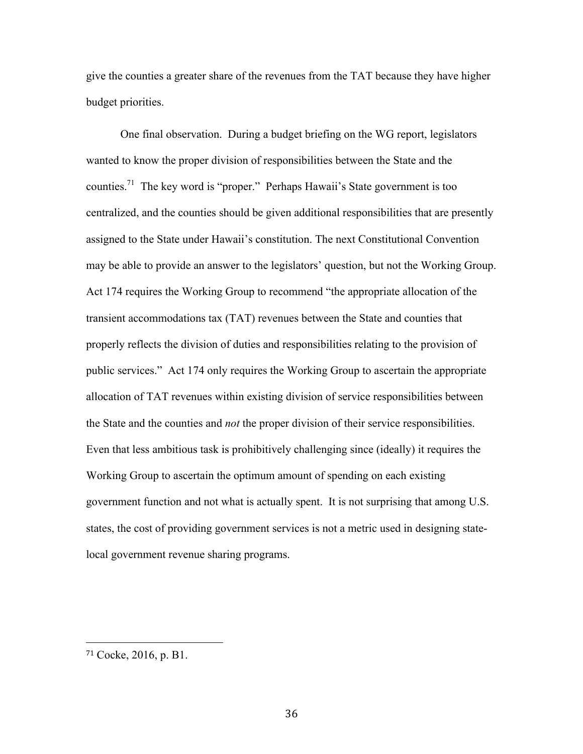give the counties a greater share of the revenues from the TAT because they have higher budget priorities.

One final observation. During a budget briefing on the WG report, legislators wanted to know the proper division of responsibilities between the State and the counties.71 The key word is "proper." Perhaps Hawaii's State government is too centralized, and the counties should be given additional responsibilities that are presently assigned to the State under Hawaii's constitution. The next Constitutional Convention may be able to provide an answer to the legislators' question, but not the Working Group. Act 174 requires the Working Group to recommend "the appropriate allocation of the transient accommodations tax (TAT) revenues between the State and counties that properly reflects the division of duties and responsibilities relating to the provision of public services." Act 174 only requires the Working Group to ascertain the appropriate allocation of TAT revenues within existing division of service responsibilities between the State and the counties and *not* the proper division of their service responsibilities. Even that less ambitious task is prohibitively challenging since (ideally) it requires the Working Group to ascertain the optimum amount of spending on each existing government function and not what is actually spent. It is not surprising that among U.S. states, the cost of providing government services is not a metric used in designing statelocal government revenue sharing programs.

<sup>71</sup> Cocke, 2016, p. B1.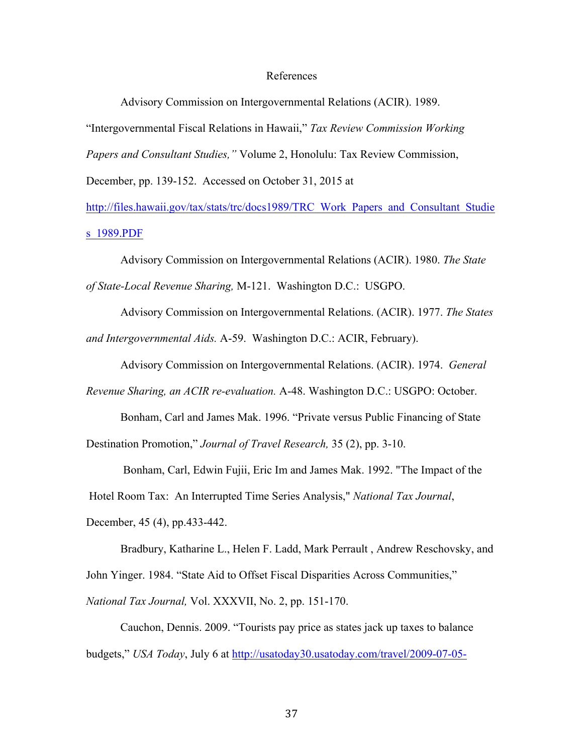#### References

Advisory Commission on Intergovernmental Relations (ACIR). 1989.

"Intergovernmental Fiscal Relations in Hawaii," *Tax Review Commission Working* 

*Papers and Consultant Studies,"* Volume 2, Honolulu: Tax Review Commission,

December, pp. 139-152. Accessed on October 31, 2015 at

http://files.hawaii.gov/tax/stats/trc/docs1989/TRC\_Work\_Papers\_and\_Consultant\_Studie s\_1989.PDF

Advisory Commission on Intergovernmental Relations (ACIR). 1980. *The State of State-Local Revenue Sharing,* M-121. Washington D.C.: USGPO.

Advisory Commission on Intergovernmental Relations. (ACIR). 1977. *The States and Intergovernmental Aids.* A-59. Washington D.C.: ACIR, February).

Advisory Commission on Intergovernmental Relations. (ACIR). 1974. *General* 

*Revenue Sharing, an ACIR re-evaluation.* A-48. Washington D.C.: USGPO: October.

Bonham, Carl and James Mak. 1996. "Private versus Public Financing of State Destination Promotion," *Journal of Travel Research,* 35 (2), pp. 3-10.

Bonham, Carl, Edwin Fujii, Eric Im and James Mak. 1992. "The Impact of the

Hotel Room Tax: An Interrupted Time Series Analysis," *National Tax Journal*,

December, 45 (4), pp.433-442.

Bradbury, Katharine L., Helen F. Ladd, Mark Perrault , Andrew Reschovsky, and John Yinger. 1984. "State Aid to Offset Fiscal Disparities Across Communities," *National Tax Journal,* Vol. XXXVII, No. 2, pp. 151-170.

Cauchon, Dennis. 2009. "Tourists pay price as states jack up taxes to balance budgets," *USA Today*, July 6 at http://usatoday30.usatoday.com/travel/2009-07-05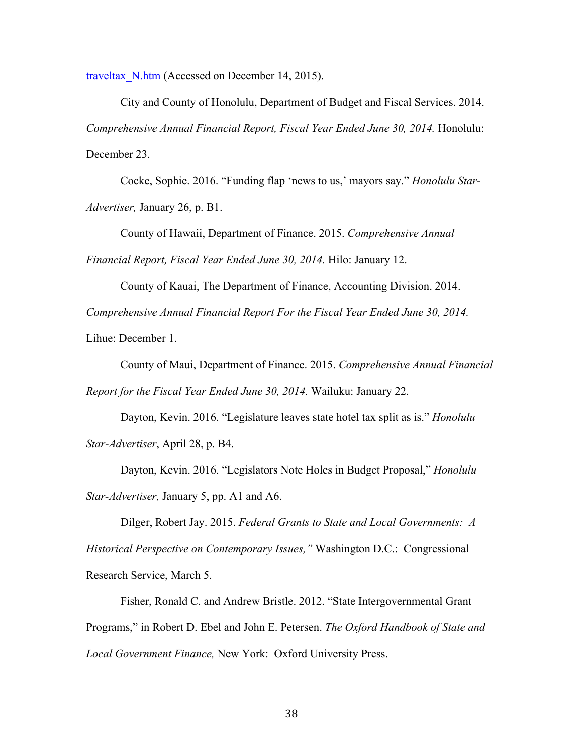traveltax N.htm (Accessed on December 14, 2015).

City and County of Honolulu, Department of Budget and Fiscal Services. 2014. *Comprehensive Annual Financial Report, Fiscal Year Ended June 30, 2014.* Honolulu: December 23.

Cocke, Sophie. 2016. "Funding flap 'news to us,' mayors say." *Honolulu Star-Advertiser,* January 26, p. B1.

County of Hawaii, Department of Finance. 2015. *Comprehensive Annual* 

*Financial Report, Fiscal Year Ended June 30, 2014.* Hilo: January 12.

County of Kauai, The Department of Finance, Accounting Division. 2014.

*Comprehensive Annual Financial Report For the Fiscal Year Ended June 30, 2014.* 

Lihue: December 1.

County of Maui, Department of Finance. 2015. *Comprehensive Annual Financial Report for the Fiscal Year Ended June 30, 2014.* Wailuku: January 22.

Dayton, Kevin. 2016. "Legislature leaves state hotel tax split as is." *Honolulu Star-Advertiser*, April 28, p. B4.

Dayton, Kevin. 2016. "Legislators Note Holes in Budget Proposal," *Honolulu Star-Advertiser,* January 5, pp. A1 and A6.

Dilger, Robert Jay. 2015. *Federal Grants to State and Local Governments: A Historical Perspective on Contemporary Issues,"* Washington D.C.: Congressional Research Service, March 5.

Fisher, Ronald C. and Andrew Bristle. 2012. "State Intergovernmental Grant Programs," in Robert D. Ebel and John E. Petersen. *The Oxford Handbook of State and Local Government Finance,* New York: Oxford University Press.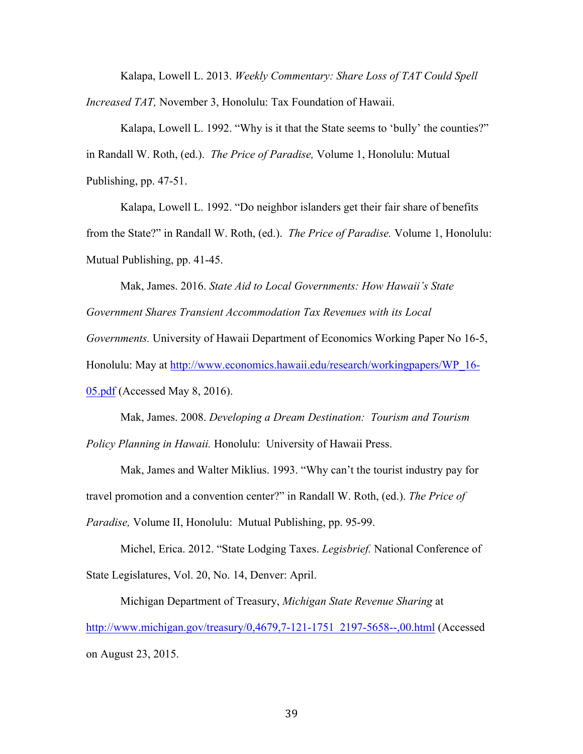Kalapa, Lowell L. 2013. *Weekly Commentary: Share Loss of TAT Could Spell Increased TAT,* November 3, Honolulu: Tax Foundation of Hawaii.

Kalapa, Lowell L. 1992. "Why is it that the State seems to 'bully' the counties?" in Randall W. Roth, (ed.). *The Price of Paradise,* Volume 1, Honolulu: Mutual Publishing, pp. 47-51.

Kalapa, Lowell L. 1992. "Do neighbor islanders get their fair share of benefits from the State?" in Randall W. Roth, (ed.). *The Price of Paradise.* Volume 1, Honolulu: Mutual Publishing, pp. 41-45.

Mak, James. 2016. *State Aid to Local Governments: How Hawaii's State Government Shares Transient Accommodation Tax Revenues with its Local Governments.* University of Hawaii Department of Economics Working Paper No 16-5, Honolulu: May at http://www.economics.hawaii.edu/research/workingpapers/WP\_16- 05.pdf (Accessed May 8, 2016).

Mak, James. 2008. *Developing a Dream Destination: Tourism and Tourism Policy Planning in Hawaii.* Honolulu: University of Hawaii Press.

Mak, James and Walter Miklius. 1993. "Why can't the tourist industry pay for travel promotion and a convention center?" in Randall W. Roth, (ed.). *The Price of Paradise,* Volume II, Honolulu: Mutual Publishing, pp. 95-99.

Michel, Erica. 2012. "State Lodging Taxes. *Legisbrief.* National Conference of State Legislatures, Vol. 20, No. 14, Denver: April.

Michigan Department of Treasury, *Michigan State Revenue Sharing* at http://www.michigan.gov/treasury/0,4679,7-121-1751\_2197-5658--,00.html (Accessed on August 23, 2015.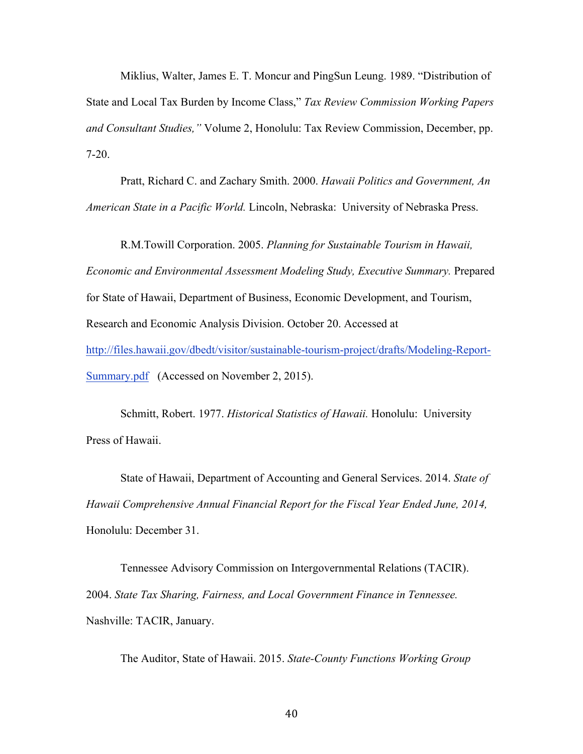Miklius, Walter, James E. T. Moncur and PingSun Leung. 1989. "Distribution of State and Local Tax Burden by Income Class," *Tax Review Commission Working Papers and Consultant Studies,"* Volume 2, Honolulu: Tax Review Commission, December, pp. 7-20.

Pratt, Richard C. and Zachary Smith. 2000. *Hawaii Politics and Government, An American State in a Pacific World.* Lincoln, Nebraska: University of Nebraska Press.

R.M.Towill Corporation. 2005. *Planning for Sustainable Tourism in Hawaii, Economic and Environmental Assessment Modeling Study, Executive Summary.* Prepared for State of Hawaii, Department of Business, Economic Development, and Tourism, Research and Economic Analysis Division. October 20. Accessed at http://files.hawaii.gov/dbedt/visitor/sustainable-tourism-project/drafts/Modeling-Report-Summary.pdf (Accessed on November 2, 2015).

Schmitt, Robert. 1977. *Historical Statistics of Hawaii.* Honolulu: University Press of Hawaii.

State of Hawaii, Department of Accounting and General Services. 2014. *State of Hawaii Comprehensive Annual Financial Report for the Fiscal Year Ended June, 2014,*  Honolulu: December 31.

Tennessee Advisory Commission on Intergovernmental Relations (TACIR). 2004. *State Tax Sharing, Fairness, and Local Government Finance in Tennessee.*  Nashville: TACIR, January.

The Auditor, State of Hawaii. 2015. *State-County Functions Working Group*